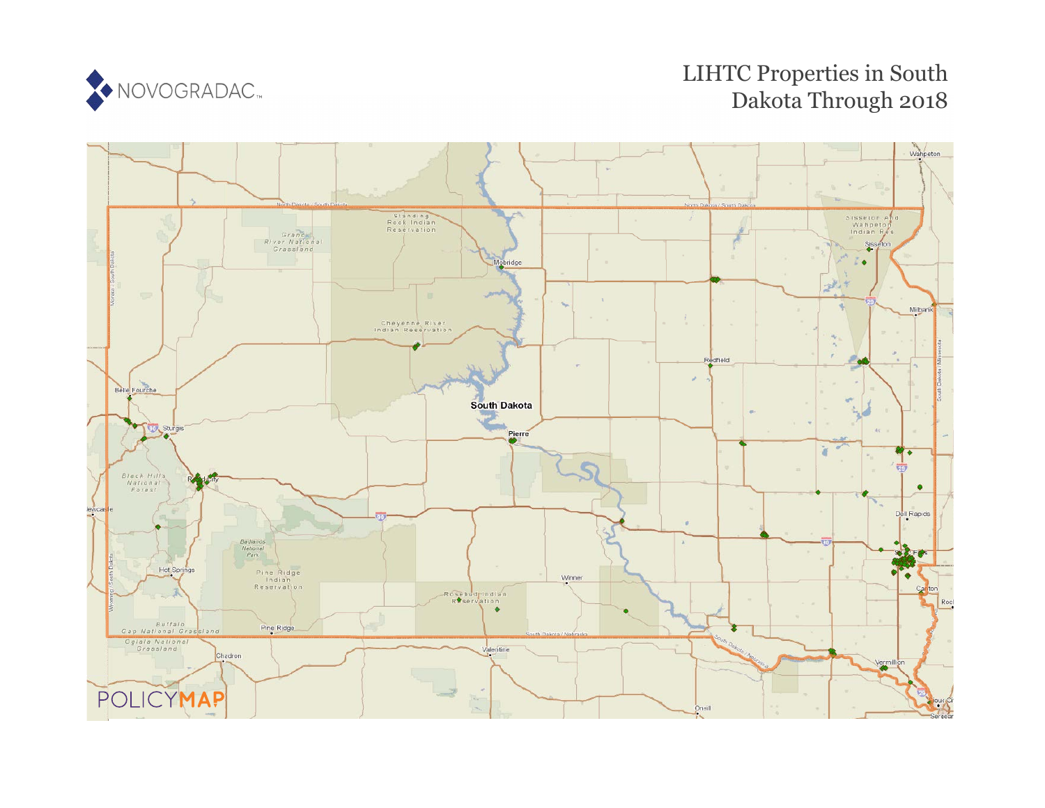

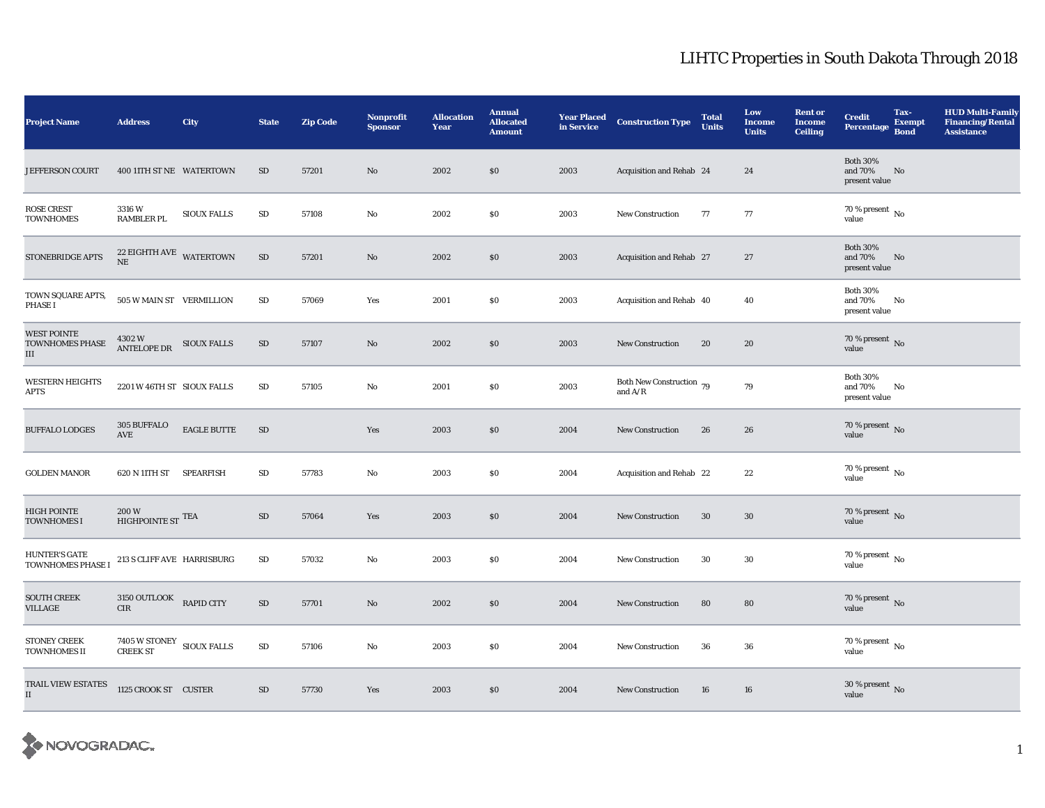| <b>Project Name</b>                        | <b>Address</b>                                  | City               | <b>State</b> | <b>Zip Code</b> | <b>Nonprofit</b><br><b>Sponsor</b> | <b>Allocation</b><br>Year | <b>Annual</b><br><b>Allocated</b><br><b>Amount</b> | <b>Year Placed</b><br>in Service | <b>Construction Type</b>                                | <b>Total</b><br><b>Units</b> | Low<br><b>Income</b><br><b>Units</b> | <b>Rent or</b><br><b>Income</b><br><b>Ceiling</b> | <b>Credit</b><br><b>Percentage</b>          | Tax-<br><b>Exempt</b><br><b>Bond</b> | <b>HUD Multi-Family</b><br><b>Financing/Rental</b><br><b>Assistance</b> |
|--------------------------------------------|-------------------------------------------------|--------------------|--------------|-----------------|------------------------------------|---------------------------|----------------------------------------------------|----------------------------------|---------------------------------------------------------|------------------------------|--------------------------------------|---------------------------------------------------|---------------------------------------------|--------------------------------------|-------------------------------------------------------------------------|
| <b>JEFFERSON COURT</b>                     | 400 11TH ST NE WATERTOWN                        |                    | SD           | 57201           | No                                 | 2002                      | \$0\$                                              | 2003                             | Acquisition and Rehab 24                                |                              | 24                                   |                                                   | <b>Both 30%</b><br>and 70%<br>present value | No                                   |                                                                         |
| <b>ROSE CREST</b><br><b>TOWNHOMES</b>      | 3316W<br><b>RAMBLER PL</b>                      | <b>SIOUX FALLS</b> | ${\rm SD}$   | 57108           | No                                 | 2002                      | $\$0$                                              | 2003                             | New Construction                                        | 77                           | 77                                   |                                                   | 70 % present $\,$ No $\,$<br>value          |                                      |                                                                         |
| STONEBRIDGE APTS                           | 22 EIGHTH AVE WATERTOWN<br>$\rm NE$             |                    | $\rm SD$     | 57201           | $\mathbf{N}\mathbf{o}$             | 2002                      | \$0\$                                              | 2003                             | Acquisition and Rehab 27                                |                              | 27                                   |                                                   | <b>Both 30%</b><br>and 70%<br>present value | No                                   |                                                                         |
| TOWN SQUARE APTS,<br><b>PHASE I</b>        | 505 W MAIN ST VERMILLION                        |                    | ${\bf SD}$   | 57069           | Yes                                | 2001                      | \$0                                                | 2003                             | Acquisition and Rehab 40                                |                              | 40                                   |                                                   | <b>Both 30%</b><br>and 70%<br>present value | No                                   |                                                                         |
| <b>WEST POINTE</b><br>TOWNHOMES PHASE<br>Ш | 4302W<br><b>ANTELOPE DR</b>                     | <b>SIOUX FALLS</b> | ${\rm SD}$   | 57107           | $\rm No$                           | 2002                      | $\$0$                                              | 2003                             | <b>New Construction</b>                                 | 20                           | 20                                   |                                                   | $70\,\%$ present $\,$ No value              |                                      |                                                                         |
| <b>WESTERN HEIGHTS</b><br>APTS             | 2201 W 46TH ST SIOUX FALLS                      |                    | SD           | 57105           | No                                 | 2001                      | \$0                                                | 2003                             | Both New Construction 79<br>and $\mathrm{A}/\mathrm{R}$ |                              | 79                                   |                                                   | <b>Both 30%</b><br>and 70%<br>present value | No                                   |                                                                         |
| <b>BUFFALO LODGES</b>                      | 305 BUFFALO<br>AVE                              | <b>EAGLE BUTTE</b> | $\rm SD$     |                 | Yes                                | 2003                      | $\$0$                                              | 2004                             | New Construction                                        | 26                           | 26                                   |                                                   | 70 % present $\hbox{~No}$<br>value          |                                      |                                                                         |
| <b>GOLDEN MANOR</b>                        | 620 N 11TH ST                                   | <b>SPEARFISH</b>   | ${\rm SD}$   | 57783           | $\mathbf{N}\mathbf{o}$             | 2003                      | $\$0$                                              | 2004                             | Acquisition and Rehab 22                                |                              | 22                                   |                                                   | 70 % present $\,$ No $\,$<br>value          |                                      |                                                                         |
| <b>HIGH POINTE</b><br><b>TOWNHOMES I</b>   | $200\,\mathrm{W}$<br>HIGHPOINTE ST $^{\rm TEA}$ |                    | ${\rm SD}$   | 57064           | Yes                                | 2003                      | \$0\$                                              | 2004                             | <b>New Construction</b>                                 | 30                           | 30                                   |                                                   | 70 % present $\,$ No $\,$<br>value          |                                      |                                                                         |
| <b>HUNTER'S GATE</b><br>TOWNHOMES PHASE I  | 213 S CLIFF AVE HARRISBURG                      |                    | ${\rm SD}$   | 57032           | $\mathbf{No}$                      | 2003                      | \$0                                                | 2004                             | <b>New Construction</b>                                 | 30                           | 30                                   |                                                   | 70 % present $\,$ No $\,$<br>value          |                                      |                                                                         |
| <b>SOUTH CREEK</b><br>VILLAGE              | 3150 OUTLOOK RAPID CITY<br><b>CIR</b>           |                    | $\rm SD$     | 57701           | No                                 | 2002                      | \$0\$                                              | 2004                             | <b>New Construction</b>                                 | 80                           | 80                                   |                                                   | $70$ % present $\,$ No value                |                                      |                                                                         |
| <b>STONEY CREEK</b><br>TOWNHOMES II        | 7405 W STONEY SIOUX FALLS<br><b>CREEK ST</b>    |                    | ${\rm SD}$   | 57106           | No                                 | 2003                      | $\$0$                                              | 2004                             | New Construction                                        | 36                           | 36                                   |                                                   | $70\,\%$ present $\,$ No value              |                                      |                                                                         |
| TRAIL VIEW ESTATES<br>$\scriptstyle\rm II$ | 1125 CROOK ST CUSTER                            |                    | $\rm SD$     | 57730           | Yes                                | 2003                      | $\$0$                                              | 2004                             | New Construction                                        | 16                           | 16                                   |                                                   | 30 % present $\,$ No $\,$<br>value          |                                      |                                                                         |

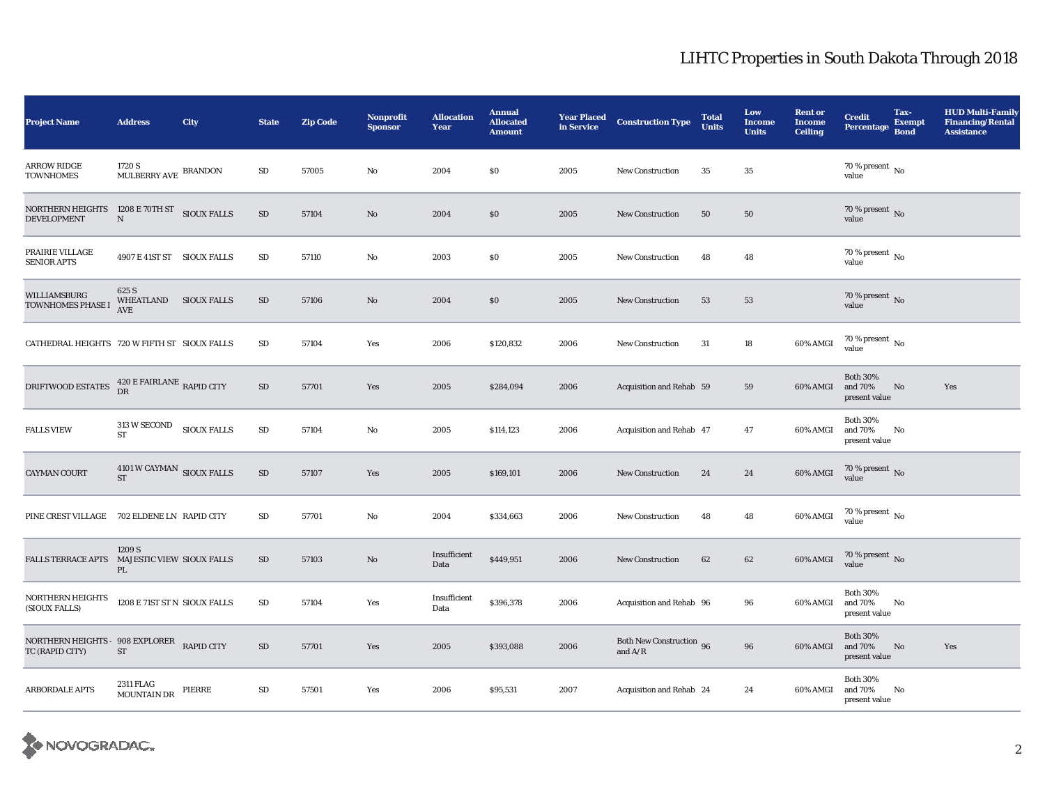| <b>Project Name</b>                                              | <b>Address</b>                                    | City               | <b>State</b> | <b>Zip Code</b> | Nonprofit<br><b>Sponsor</b> | <b>Allocation</b><br>Year | <b>Annual</b><br><b>Allocated</b><br><b>Amount</b> | <b>Year Placed</b><br>in Service | <b>Construction Type</b>              | <b>Total</b><br><b>Units</b> | Low<br><b>Income</b><br><b>Units</b> | <b>Rent or</b><br><b>Income</b><br><b>Ceiling</b> | <b>Credit</b><br><b>Percentage</b>          | Tax-<br><b>Exempt</b><br><b>Bond</b> | <b>HUD Multi-Family</b><br><b>Financing/Rental</b><br><b>Assistance</b> |
|------------------------------------------------------------------|---------------------------------------------------|--------------------|--------------|-----------------|-----------------------------|---------------------------|----------------------------------------------------|----------------------------------|---------------------------------------|------------------------------|--------------------------------------|---------------------------------------------------|---------------------------------------------|--------------------------------------|-------------------------------------------------------------------------|
| ARROW RIDGE<br><b>TOWNHOMES</b>                                  | 1720 S<br>MULBERRY AVE BRANDON                    |                    | SD           | 57005           | No                          | 2004                      | \$0                                                | 2005                             | <b>New Construction</b>               | 35                           | 35                                   |                                                   | 70 % present $\,$ No $\,$<br>value          |                                      |                                                                         |
| <b>NORTHERN HEIGHTS</b><br><b>DEVELOPMENT</b>                    | 1208 E 70TH ST<br>${\bf N}$                       | <b>SIOUX FALLS</b> | $\rm SD$     | 57104           | $\mathbf{N}\mathbf{o}$      | 2004                      | \$0                                                | 2005                             | <b>New Construction</b>               | 50                           | 50                                   |                                                   | 70 % present $\,$ No $\,$<br>value          |                                      |                                                                         |
| PRAIRIE VILLAGE<br><b>SENIOR APTS</b>                            | 4907 E 41ST ST SIOUX FALLS                        |                    | SD           | 57110           | No                          | 2003                      | \$0                                                | 2005                             | <b>New Construction</b>               | 48                           | 48                                   |                                                   | 70 % present $\,$ No $\,$<br>value          |                                      |                                                                         |
| WILLIAMSBURG<br>TOWNHOMES PHASE I                                | 625 S<br>WHEATLAND SIOUX FALLS<br><b>AVE</b>      |                    | $\rm SD$     | 57106           | $\mathbf{N}\mathbf{o}$      | 2004                      | \$0                                                | 2005                             | <b>New Construction</b>               | 53                           | 53                                   |                                                   | $70\,\%$ present $\,$ No value              |                                      |                                                                         |
| CATHEDRAL HEIGHTS 720 W FIFTH ST SIOUX FALLS                     |                                                   |                    | SD           | 57104           | Yes                         | 2006                      | \$120,832                                          | 2006                             | <b>New Construction</b>               | 31                           | 18                                   | 60% AMGI                                          | 70 % present $\,$ No $\,$<br>value          |                                      |                                                                         |
| DRIFTWOOD ESTATES $^{420\, \rm E\,FAIRLANE}_{\rm DR}$ RAPID CITY |                                                   |                    | $\rm SD$     | 57701           | Yes                         | 2005                      | \$284,094                                          | 2006                             | Acquisition and Rehab 59              |                              | 59                                   | 60% AMGI                                          | <b>Both 30%</b><br>and 70%<br>present value | No                                   | Yes                                                                     |
| <b>FALLS VIEW</b>                                                | $313\mathrm{\ W}$ SECOND SIOUX FALLS<br><b>ST</b> |                    | $\rm SD$     | 57104           | No                          | 2005                      | \$114,123                                          | 2006                             | Acquisition and Rehab 47              |                              | 47                                   | 60% AMGI                                          | <b>Both 30%</b><br>and 70%<br>present value | No                                   |                                                                         |
| CAYMAN COURT                                                     | 4101 W CAYMAN SIOUX FALLS<br><b>ST</b>            |                    | ${\rm SD}$   | 57107           | Yes                         | 2005                      | \$169,101                                          | 2006                             | New Construction                      | 24                           | ${\bf 24}$                           | $60\%$ AMGI                                       | $70\,\%$ present $\,$ No value              |                                      |                                                                         |
| PINE CREST VILLAGE 702 ELDENE LN RAPID CITY                      |                                                   |                    | SD           | 57701           | No                          | 2004                      | \$334,663                                          | 2006                             | <b>New Construction</b>               | 48                           | 48                                   | 60% AMGI                                          | $70\,\%$ present $\,$ No value              |                                      |                                                                         |
| FALLS TERRACE APTS MAJESTIC VIEW SIOUX FALLS                     | 1209 S<br>PL                                      |                    | SD           | 57103           | No                          | Insufficient<br>Data      | \$449,951                                          | 2006                             | <b>New Construction</b>               | 62                           | 62                                   | 60% AMGI                                          | $70\,\%$ present $\,$ No value              |                                      |                                                                         |
| NORTHERN HEIGHTS<br>(SIOUX FALLS)                                | 1208 E 71ST ST N SIOUX FALLS                      |                    | SD           | 57104           | Yes                         | Insufficient<br>Data      | \$396,378                                          | 2006                             | Acquisition and Rehab 96              |                              | 96                                   | 60% AMGI                                          | <b>Both 30%</b><br>and 70%<br>present value | No                                   |                                                                         |
| NORTHERN HEIGHTS - 908 EXPLORER RAPID CITY<br>TC (RAPID CITY)    | ST                                                |                    | $\rm SD$     | 57701           | Yes                         | 2005                      | \$393,088                                          | 2006                             | Both New Construction 96<br>and $A/R$ |                              | 96                                   | 60% AMGI                                          | <b>Both 30%</b><br>and 70%<br>present value | No                                   | Yes                                                                     |
| <b>ARBORDALE APTS</b>                                            | 2311 FLAG<br><b>MOUNTAIN DR</b>                   | PIERRE             | SD           | 57501           | Yes                         | 2006                      | \$95,531                                           | 2007                             | Acquisition and Rehab 24              |                              | 24                                   | 60% AMGI                                          | <b>Both 30%</b><br>and 70%<br>present value | No                                   |                                                                         |

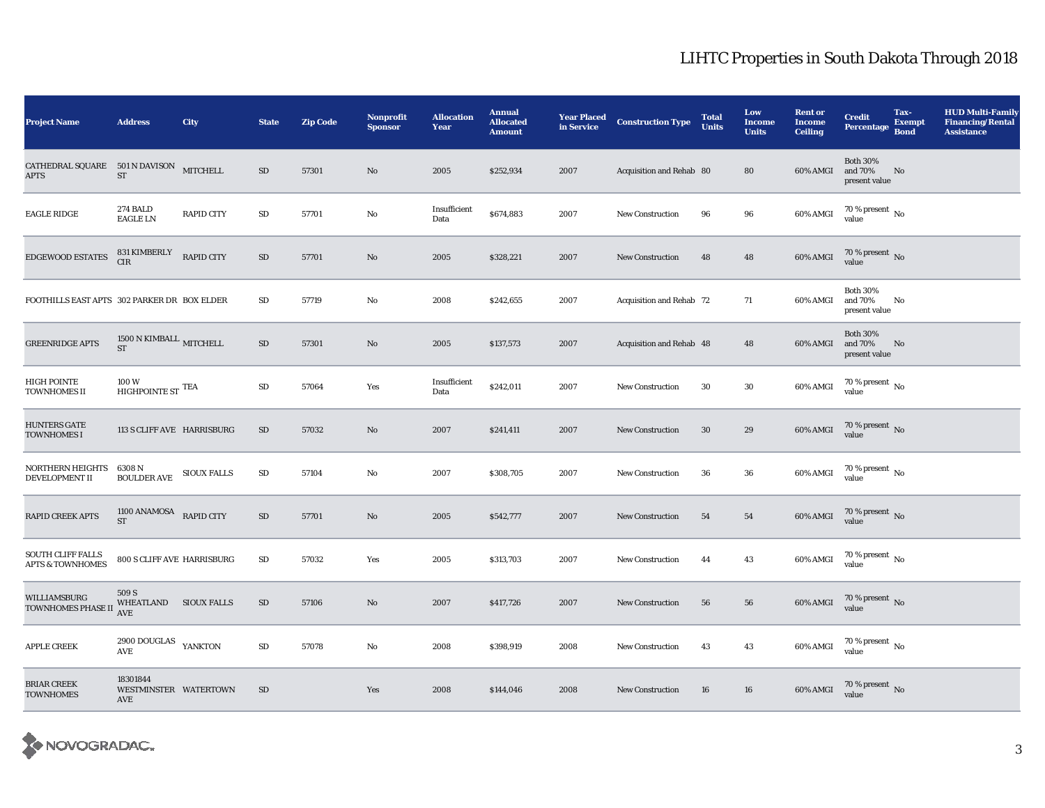| <b>Project Name</b>                                                                                        | <b>Address</b>                                            | City               | <b>State</b> | <b>Zip Code</b> | <b>Nonprofit</b><br><b>Sponsor</b> | <b>Allocation</b><br>Year | <b>Annual</b><br><b>Allocated</b><br><b>Amount</b> | <b>Year Placed</b><br>in Service | <b>Construction Type</b> | <b>Total</b><br><b>Units</b> | Low<br><b>Income</b><br><b>Units</b> | <b>Rent or</b><br><b>Income</b><br><b>Ceiling</b> | <b>Credit</b><br><b>Percentage</b>          | Tax-<br><b>Exempt</b><br><b>Bond</b> | <b>HUD Multi-Family</b><br><b>Financing/Rental</b><br><b>Assistance</b> |
|------------------------------------------------------------------------------------------------------------|-----------------------------------------------------------|--------------------|--------------|-----------------|------------------------------------|---------------------------|----------------------------------------------------|----------------------------------|--------------------------|------------------------------|--------------------------------------|---------------------------------------------------|---------------------------------------------|--------------------------------------|-------------------------------------------------------------------------|
| $\begin{tabular}{ll} \bf{CATHEDRAL}\,\, SQUARE & \bf{501}\,\,N\,\,DAVISON \\ \end{tabular}$<br><b>APTS</b> | ${\rm ST}$                                                | <b>MITCHELL</b>    | $\rm SD$     | 57301           | No                                 | 2005                      | \$252,934                                          | 2007                             | Acquisition and Rehab 80 |                              | 80                                   | 60% AMGI                                          | <b>Both 30%</b><br>and 70%<br>present value | No                                   |                                                                         |
| <b>EAGLE RIDGE</b>                                                                                         | 274 BALD<br><b>EAGLE LN</b>                               | <b>RAPID CITY</b>  | $\rm SD$     | 57701           | $\mathbf{No}$                      | Insufficient<br>Data      | \$674,883                                          | 2007                             | New Construction         | 96                           | 96                                   | 60% AMGI                                          | $70\,\%$ present $\,$ No value              |                                      |                                                                         |
| EDGEWOOD ESTATES                                                                                           | 831 KIMBERLY<br>CIR                                       | <b>RAPID CITY</b>  | $\rm SD$     | 57701           | $\mathbf{N}\mathbf{o}$             | 2005                      | \$328,221                                          | 2007                             | <b>New Construction</b>  | 48                           | 48                                   | 60% AMGI                                          | $70\,\%$ present $\,$ No value              |                                      |                                                                         |
| FOOTHILLS EAST APTS 302 PARKER DR BOX ELDER                                                                |                                                           |                    | SD           | 57719           | No                                 | 2008                      | \$242,655                                          | 2007                             | Acquisition and Rehab 72 |                              | 71                                   | 60% AMGI                                          | <b>Both 30%</b><br>and 70%<br>present value | No                                   |                                                                         |
| <b>GREENRIDGE APTS</b>                                                                                     | 1500 N KIMBALL MITCHELL<br>ST                             |                    | $\rm SD$     | 57301           | $\mathbf{N}\mathbf{o}$             | 2005                      | \$137,573                                          | 2007                             | Acquisition and Rehab 48 |                              | 48                                   | 60% AMGI                                          | <b>Both 30%</b><br>and 70%<br>present value | No                                   |                                                                         |
| HIGH POINTE<br><b>TOWNHOMES II</b>                                                                         | 100W<br>HIGHPOINTE ST $^{\rm TEA}$                        |                    | $\rm SD$     | 57064           | Yes                                | Insufficient<br>Data      | \$242,011                                          | 2007                             | <b>New Construction</b>  | 30                           | 30                                   | 60% AMGI                                          | $70\,\%$ present $\,$ No value              |                                      |                                                                         |
| <b>HUNTERS GATE</b><br>TOWNHOMES I                                                                         | 113 S CLIFF AVE HARRISBURG                                |                    | $\rm SD$     | 57032           | No                                 | 2007                      | \$241,411                                          | 2007                             | <b>New Construction</b>  | $30\,$                       | 29                                   | 60% AMGI                                          | $70\,\%$ present $\,$ No value              |                                      |                                                                         |
| NORTHERN HEIGHTS<br>DEVELOPMENT II                                                                         | 6308 N<br><b>BOULDER AVE</b>                              | <b>SIOUX FALLS</b> | $\rm SD$     | 57104           | No                                 | 2007                      | \$308,705                                          | 2007                             | New Construction         | 36                           | ${\bf 36}$                           | 60% AMGI                                          | $70\,\%$ present $\,$ No value              |                                      |                                                                         |
| <b>RAPID CREEK APTS</b>                                                                                    | 1100 ANAMOSA RAPID CITY<br><b>ST</b>                      |                    | ${\rm SD}$   | 57701           | $\mathbf{N}\mathbf{o}$             | 2005                      | \$542,777                                          | 2007                             | <b>New Construction</b>  | 54                           | ${\bf 54}$                           | 60% AMGI                                          | $70\,\%$ present $\,$ No value              |                                      |                                                                         |
| <b>SOUTH CLIFF FALLS</b><br><b>APTS &amp; TOWNHOMES</b>                                                    | 800 S CLIFF AVE HARRISBURG                                |                    | $\rm SD$     | 57032           | Yes                                | 2005                      | \$313,703                                          | 2007                             | <b>New Construction</b>  | 44                           | 43                                   | 60% AMGI                                          | $70\,\%$ present $\,$ No value              |                                      |                                                                         |
| WILLIAMSBURG<br>TOWNHOMES PHASE II                                                                         | 509 S<br>WHEATLAND SIOUX FALLS<br>AVE                     |                    | SD           | 57106           | $\rm No$                           | 2007                      | \$417,726                                          | 2007                             | <b>New Construction</b>  | 56                           | 56                                   | $60\%$ AMGI                                       | $70\,\%$ present $\,$ No value              |                                      |                                                                         |
| <b>APPLE CREEK</b>                                                                                         | 2900 DOUGLAS YANKTON<br>$\operatorname{\mathsf{AVE}}$     |                    | ${\rm SD}$   | 57078           | No                                 | 2008                      | \$398,919                                          | 2008                             | <b>New Construction</b>  | 43                           | 43                                   | 60% AMGI                                          | $70\,\%$ present $\,$ No value              |                                      |                                                                         |
| <b>BRIAR CREEK</b><br><b>TOWNHOMES</b>                                                                     | 18301844<br>WESTMINSTER WATERTOWN<br>$\operatorname{AVE}$ |                    | SD           |                 | Yes                                | 2008                      | \$144,046                                          | 2008                             | <b>New Construction</b>  | 16                           | 16                                   | 60% AMGI                                          | $70\,\%$ present $\,$ No value              |                                      |                                                                         |

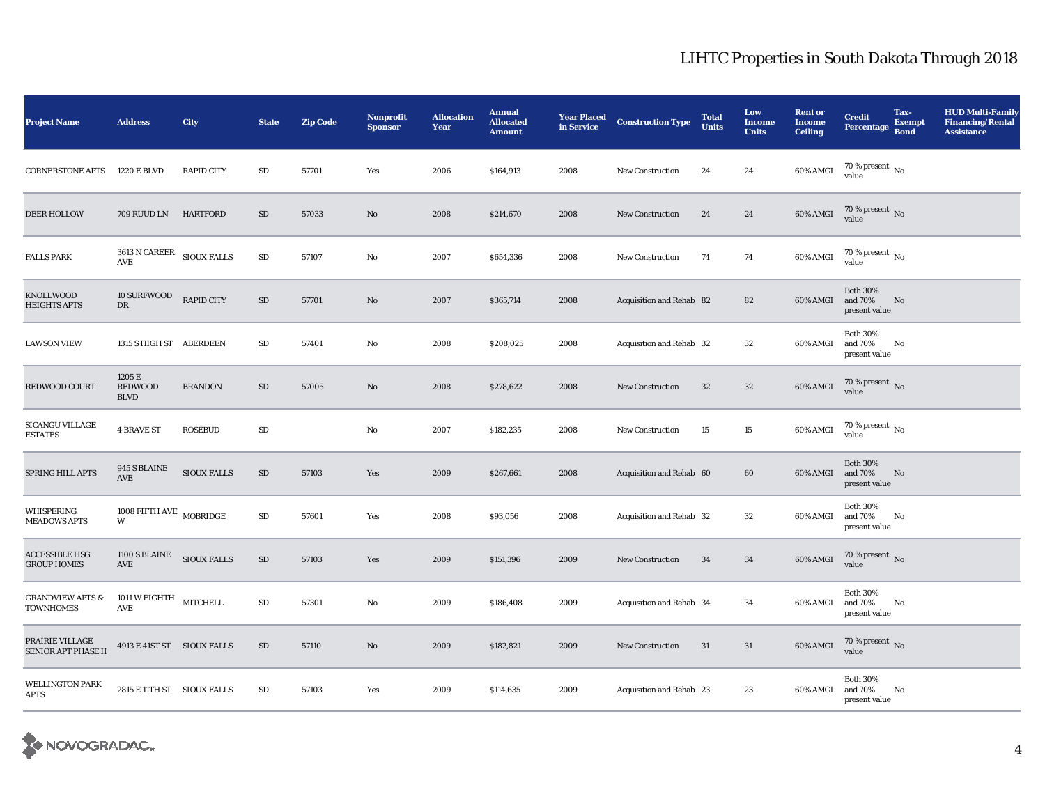| <b>Project Name</b>                             | <b>Address</b>                                                       | City              | <b>State</b> | <b>Zip Code</b> | Nonprofit<br><b>Sponsor</b> | <b>Allocation</b><br>Year | <b>Annual</b><br><b>Allocated</b><br><b>Amount</b> | <b>Year Placed</b><br>in Service | <b>Construction Type</b> | <b>Total</b><br><b>Units</b> | Low<br><b>Income</b><br><b>Units</b> | <b>Rent or</b><br><b>Income</b><br><b>Ceiling</b> | <b>Credit</b><br><b>Percentage</b>             | Tax-<br><b>Exempt</b><br><b>Bond</b> | <b>HUD Multi-Family</b><br><b>Financing/Rental</b><br><b>Assistance</b> |
|-------------------------------------------------|----------------------------------------------------------------------|-------------------|--------------|-----------------|-----------------------------|---------------------------|----------------------------------------------------|----------------------------------|--------------------------|------------------------------|--------------------------------------|---------------------------------------------------|------------------------------------------------|--------------------------------------|-------------------------------------------------------------------------|
| <b>CORNERSTONE APTS</b>                         | 1220 E BLVD                                                          | <b>RAPID CITY</b> | ${\rm SD}$   | 57701           | Yes                         | 2006                      | \$164,913                                          | 2008                             | New Construction         | 24                           | 24                                   | 60% AMGI                                          | 70 % present $\,$ No $\,$<br>value             |                                      |                                                                         |
| <b>DEER HOLLOW</b>                              | 709 RUUD LN                                                          | <b>HARTFORD</b>   | ${\rm SD}$   | 57033           | $\rm No$                    | 2008                      | \$214,670                                          | 2008                             | <b>New Construction</b>  | 24                           | ${\bf 24}$                           | $60\%$ AMGI                                       | $70\,\%$ present $\,$ No value                 |                                      |                                                                         |
| <b>FALLS PARK</b>                               | $3613$ N CAREER $\quad$ SIOUX FALLS<br>$\operatorname{\mathsf{AVE}}$ |                   | ${\rm SD}$   | 57107           | $\mathbf{No}$               | 2007                      | \$654,336                                          | 2008                             | <b>New Construction</b>  | 74                           | 74                                   | 60% AMGI                                          | $70\,\%$ present $\,$ No value                 |                                      |                                                                         |
| <b>KNOLLWOOD</b><br><b>HEIGHTS APTS</b>         | <b>10 SURFWOOD</b><br>$\mathbf{D}\mathbf{R}$                         | <b>RAPID CITY</b> | ${\rm SD}$   | 57701           | $\rm No$                    | 2007                      | \$365,714                                          | 2008                             | Acquisition and Rehab 82 |                              | 82                                   | 60% AMGI                                          | <b>Both 30%</b><br>and $70\%$<br>present value | No                                   |                                                                         |
| <b>LAWSON VIEW</b>                              | 1315 S HIGH ST ABERDEEN                                              |                   | ${\bf SD}$   | 57401           | $\mathbf{N}\mathbf{o}$      | 2008                      | \$208,025                                          | 2008                             | Acquisition and Rehab 32 |                              | $32\,$                               | 60% AMGI                                          | <b>Both 30%</b><br>and 70%<br>present value    | No                                   |                                                                         |
| REDWOOD COURT                                   | 1205 E<br><b>REDWOOD</b><br><b>BLVD</b>                              | <b>BRANDON</b>    | $\rm SD$     | 57005           | No                          | 2008                      | \$278,622                                          | 2008                             | <b>New Construction</b>  | $32\,$                       | $32\,$                               | $60\%$ AMGI                                       | $70\,\%$ present $\,$ No value                 |                                      |                                                                         |
| <b>SICANGU VILLAGE</b><br><b>ESTATES</b>        | <b>4 BRAVE ST</b>                                                    | <b>ROSEBUD</b>    | SD           |                 | No                          | 2007                      | \$182,235                                          | 2008                             | <b>New Construction</b>  | 15                           | $15\,$                               | 60% AMGI                                          | $70\,\%$ present $\,$ No value                 |                                      |                                                                         |
| SPRING HILL APTS                                | 945 S BLAINE<br>AVE                                                  | SIOUX FALLS       | ${\rm SD}$   | 57103           | Yes                         | 2009                      | \$267,661                                          | 2008                             | Acquisition and Rehab 60 |                              | 60                                   | 60% AMGI                                          | <b>Both 30%</b><br>and 70%<br>present value    | No                                   |                                                                         |
| WHISPERING<br><b>MEADOWS APTS</b>               | 1008 FIFTH AVE $\,$ MOBRIDGE<br>W                                    |                   | $\rm SD$     | 57601           | Yes                         | 2008                      | \$93,056                                           | 2008                             | Acquisition and Rehab 32 |                              | 32                                   | 60% AMGI                                          | <b>Both 30%</b><br>and 70%<br>present value    | No                                   |                                                                         |
| ACCESSIBLE HSG<br><b>GROUP HOMES</b>            | 1100 S BLAINE<br>$\operatorname{AVE}$                                | SIOUX FALLS       | $\rm SD$     | 57103           | Yes                         | 2009                      | \$151,396                                          | 2009                             | <b>New Construction</b>  | 34                           | 34                                   | 60% AMGI                                          | $70\,\%$ present $\,$ No value                 |                                      |                                                                         |
| <b>GRANDVIEW APTS &amp;</b><br><b>TOWNHOMES</b> | 1011 W EIGHTH MITCHELL<br>$\operatorname{\mathbf{AVE}}$              |                   | SD           | 57301           | $\mathbf{N}\mathbf{o}$      | 2009                      | \$186,408                                          | 2009                             | Acquisition and Rehab 34 |                              | 34                                   | 60% AMGI                                          | <b>Both 30%</b><br>and 70%<br>present value    | No                                   |                                                                         |
| PRAIRIE VILLAGE<br>SENIOR APT PHASE II          | 4913 E 41ST ST SIOUX FALLS                                           |                   | SD           | 57110           | No                          | 2009                      | \$182,821                                          | 2009                             | <b>New Construction</b>  | 31                           | 31                                   | 60% AMGI                                          | $70\,\%$ present $\,$ No value                 |                                      |                                                                         |
| <b>WELLINGTON PARK</b><br><b>APTS</b>           | 2815 E 11TH ST SIOUX FALLS                                           |                   | $\rm SD$     | 57103           | Yes                         | 2009                      | \$114,635                                          | 2009                             | Acquisition and Rehab 23 |                              | 23                                   | 60% AMGI                                          | <b>Both 30%</b><br>and 70%<br>present value    | No                                   |                                                                         |

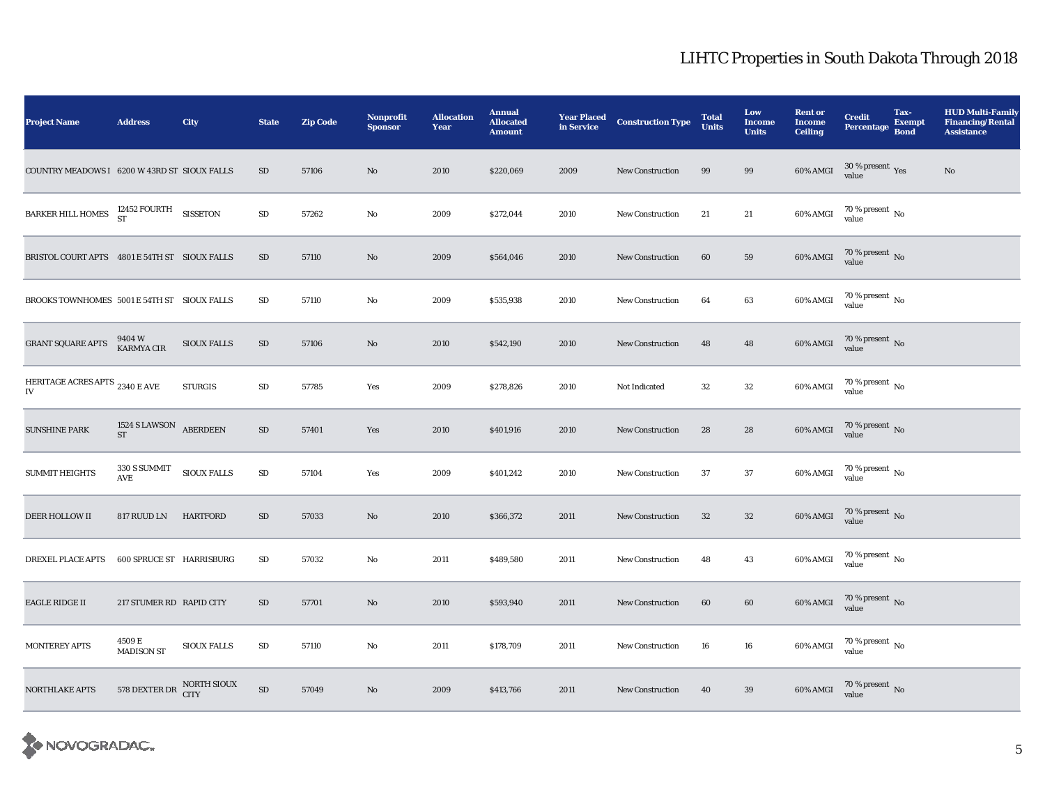| <b>Project Name</b>                           | <b>Address</b>               | <b>City</b>        | <b>State</b> | <b>Zip Code</b> | Nonprofit<br><b>Sponsor</b> | <b>Allocation</b><br>Year | <b>Annual</b><br><b>Allocated</b><br><b>Amount</b> | <b>Year Placed</b><br>in Service | <b>Construction Type</b> | <b>Total</b><br>Units | Low<br><b>Income</b><br><b>Units</b> | <b>Rent or</b><br><b>Income</b><br><b>Ceiling</b> | <b>Credit</b><br><b>Percentage</b>      | Tax-<br><b>Exempt</b><br><b>Bond</b> | <b>HUD Multi-Family</b><br><b>Financing/Rental</b><br><b>Assistance</b> |
|-----------------------------------------------|------------------------------|--------------------|--------------|-----------------|-----------------------------|---------------------------|----------------------------------------------------|----------------------------------|--------------------------|-----------------------|--------------------------------------|---------------------------------------------------|-----------------------------------------|--------------------------------------|-------------------------------------------------------------------------|
| COUNTRY MEADOWS I 6200 W 43RD ST SIOUX FALLS  |                              |                    | SD           | 57106           | $\mathbf{N}\mathbf{o}$      | 2010                      | \$220,069                                          | 2009                             | <b>New Construction</b>  | 99                    | 99                                   | 60% AMGI                                          | $30\,\%$ present $\,\mathrm{Yes}$ value |                                      | No                                                                      |
| BARKER HILL HOMES $^{12452}_{ST}$ FOURTH      |                              | <b>SISSETON</b>    | $\rm SD$     | 57262           | No                          | 2009                      | \$272,044                                          | 2010                             | <b>New Construction</b>  | 21                    | 21                                   | 60% AMGI                                          | $70\,\%$ present $\,$ No value          |                                      |                                                                         |
| BRISTOL COURT APTS 4801 E 54TH ST SIOUX FALLS |                              |                    | $\rm SD$     | 57110           | $\mathbf{N}\mathbf{o}$      | 2009                      | \$564,046                                          | 2010                             | <b>New Construction</b>  | 60                    | 59                                   | 60% AMGI                                          | $70\,\%$ present $\,$ No value          |                                      |                                                                         |
| BROOKS TOWNHOMES 5001 E 54TH ST SIOUX FALLS   |                              |                    | SD           | 57110           | No                          | 2009                      | \$535,938                                          | 2010                             | <b>New Construction</b>  | 64                    | 63                                   | 60% AMGI                                          | $70\,\%$ present $\,$ No value          |                                      |                                                                         |
| <b>GRANT SQUARE APTS</b>                      | 9404 W<br>KARMYA CIR         | <b>SIOUX FALLS</b> | SD           | 57106           | No                          | 2010                      | \$542,190                                          | 2010                             | <b>New Construction</b>  | 48                    | 48                                   | 60% AMGI                                          | $70\,\%$ present $\,$ No value          |                                      |                                                                         |
| HERITAGE ACRES APTS 2340 E AVE<br>IV          |                              | <b>STURGIS</b>     | ${\rm SD}$   | 57785           | Yes                         | 2009                      | \$278,826                                          | 2010                             | Not Indicated            | $32\,$                | $32\,$                               | 60% AMGI                                          | $70\,\%$ present $\,$ No value          |                                      |                                                                         |
| <b>SUNSHINE PARK</b>                          | 1524 S LAWSON ABERDEEN<br>ST |                    | $\rm SD$     | 57401           | Yes                         | 2010                      | \$401,916                                          | 2010                             | <b>New Construction</b>  | 28                    | 28                                   | $60\%$ AMGI                                       | $70\,\%$ present $\,$ No value          |                                      |                                                                         |
| <b>SUMMIT HEIGHTS</b>                         | 330 S SUMMIT<br><b>AVE</b>   | <b>SIOUX FALLS</b> | $\rm SD$     | 57104           | Yes                         | 2009                      | \$401,242                                          | 2010                             | <b>New Construction</b>  | 37                    | 37                                   | $60\%$ AMGI                                       | $70\,\%$ present $\,$ No value          |                                      |                                                                         |
| DEER HOLLOW II                                | 817 RUUD LN                  | <b>HARTFORD</b>    | $\rm SD$     | 57033           | $\mathbf{N}\mathbf{o}$      | 2010                      | \$366,372                                          | 2011                             | <b>New Construction</b>  | $32\,$                | $32\,$                               | 60% AMGI                                          | $70\,\%$ present $\,$ No value          |                                      |                                                                         |
| <b>DREXEL PLACE APTS</b>                      | 600 SPRUCE ST HARRISBURG     |                    | SD           | 57032           | No                          | 2011                      | \$489,580                                          | 2011                             | <b>New Construction</b>  | 48                    | 43                                   | 60% AMGI                                          | $70\,\%$ present $\,$ No value          |                                      |                                                                         |
| <b>EAGLE RIDGE II</b>                         | 217 STUMER RD RAPID CITY     |                    | SD           | 57701           | No                          | 2010                      | \$593,940                                          | 2011                             | <b>New Construction</b>  | 60                    | 60                                   | 60% AMGI                                          | $70\,\%$ present $\,$ No value          |                                      |                                                                         |
| <b>MONTEREY APTS</b>                          | 4509 E<br><b>MADISON ST</b>  | <b>SIOUX FALLS</b> | ${\rm SD}$   | 57110           | $\mathbf{No}$               | 2011                      | \$178,709                                          | 2011                             | <b>New Construction</b>  | 16                    | 16                                   | 60% AMGI                                          | $70\,\%$ present $\,$ No value          |                                      |                                                                         |
| NORTHLAKE APTS                                | 578 DEXTER DR NORTH SIOUX    |                    | SD           | 57049           | $\mathbf{N}\mathbf{o}$      | 2009                      | \$413,766                                          | 2011                             | New Construction         | 40                    | 39                                   | 60% AMGI                                          | $70\,\%$ present $\,$ No value          |                                      |                                                                         |

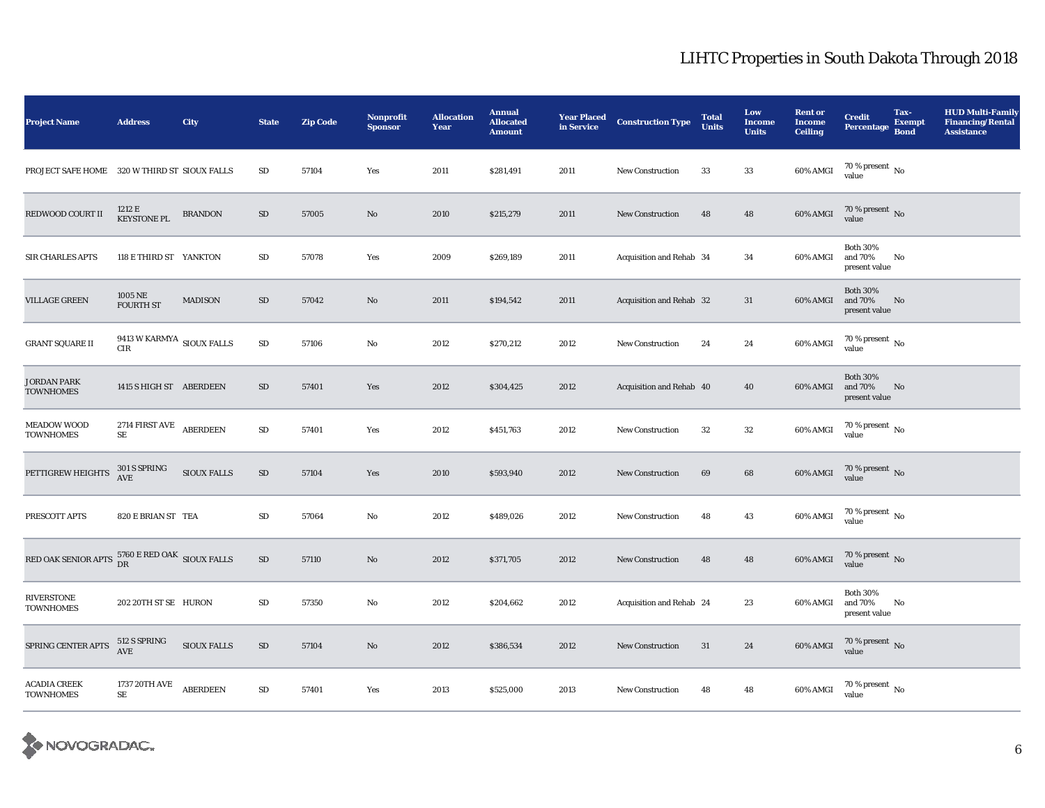| <b>Project Name</b>                                         | <b>Address</b>                                      | <b>City</b>        | <b>State</b> | <b>Zip Code</b> | Nonprofit<br><b>Sponsor</b> | <b>Allocation</b><br>Year | <b>Annual</b><br><b>Allocated</b><br><b>Amount</b> | <b>Year Placed</b><br>in Service | <b>Construction Type</b> | <b>Total</b><br><b>Units</b> | Low<br><b>Income</b><br><b>Units</b> | <b>Rent or</b><br><b>Income</b><br><b>Ceiling</b> | <b>Credit</b><br><b>Percentage</b>          | Tax-<br><b>Exempt</b><br><b>Bond</b> | <b>HUD Multi-Family</b><br><b>Financing/Rental</b><br><b>Assistance</b> |
|-------------------------------------------------------------|-----------------------------------------------------|--------------------|--------------|-----------------|-----------------------------|---------------------------|----------------------------------------------------|----------------------------------|--------------------------|------------------------------|--------------------------------------|---------------------------------------------------|---------------------------------------------|--------------------------------------|-------------------------------------------------------------------------|
| PROJECT SAFE HOME 320 W THIRD ST SIOUX FALLS                |                                                     |                    | $\rm SD$     | 57104           | Yes                         | 2011                      | \$281,491                                          | 2011                             | New Construction         | 33                           | 33                                   | 60% AMGI                                          | 70 % present $\,$ No $\,$<br>value          |                                      |                                                                         |
| REDWOOD COURT II                                            | 1212 E<br><b>KEYSTONE PL</b>                        | <b>BRANDON</b>     | $\rm SD$     | 57005           | No                          | 2010                      | \$215,279                                          | 2011                             | <b>New Construction</b>  | 48                           | 48                                   | 60% AMGI                                          | $70\,\%$ present $_{\rm No}$                |                                      |                                                                         |
| <b>SIR CHARLES APTS</b>                                     | 118 E THIRD ST YANKTON                              |                    | $\rm SD$     | 57078           | Yes                         | 2009                      | \$269,189                                          | 2011                             | Acquisition and Rehab 34 |                              | 34                                   | 60% AMGI                                          | <b>Both 30%</b><br>and 70%<br>present value | No                                   |                                                                         |
| <b>VILLAGE GREEN</b>                                        | 1005 NE<br><b>FOURTH ST</b>                         | <b>MADISON</b>     | SD           | 57042           | No                          | 2011                      | \$194,542                                          | 2011                             | Acquisition and Rehab 32 |                              | 31                                   | 60% AMGI                                          | <b>Both 30%</b><br>and 70%<br>present value | No                                   |                                                                         |
| <b>GRANT SQUARE II</b>                                      | 9413 W KARMYA $_{\rm{SIOUX\; FALLS}}$<br><b>CIR</b> |                    | ${\rm SD}$   | 57106           | No                          | 2012                      | \$270,212                                          | 2012                             | <b>New Construction</b>  | 24                           | $\bf 24$                             | 60% AMGI                                          | $70\,\%$ present $\,$ No value              |                                      |                                                                         |
| JORDAN PARK<br><b>TOWNHOMES</b>                             | 1415 S HIGH ST ABERDEEN                             |                    | ${\rm SD}$   | 57401           | Yes                         | 2012                      | \$304,425                                          | 2012                             | Acquisition and Rehab 40 |                              | 40                                   | 60% AMGI                                          | <b>Both 30%</b><br>and 70%<br>present value | No                                   |                                                                         |
| <b>MEADOW WOOD</b><br><b>TOWNHOMES</b>                      | 2714 FIRST AVE ABERDEEN<br>$\rm SE$                 |                    | ${\rm SD}$   | 57401           | Yes                         | 2012                      | \$451,763                                          | 2012                             | <b>New Construction</b>  | 32                           | $32\,$                               | 60% AMGI                                          | $70\,\%$ present $\,$ No value              |                                      |                                                                         |
| PETTIGREW HEIGHTS                                           | 301 S SPRING<br>AVE                                 | SIOUX FALLS        | $\rm SD$     | 57104           | Yes                         | 2010                      | \$593,940                                          | 2012                             | <b>New Construction</b>  | 69                           | 68                                   | 60% AMGI                                          | $70\,\%$ present $\,$ No value              |                                      |                                                                         |
| PRESCOTT APTS                                               | 820 E BRIAN ST TEA                                  |                    | SD           | 57064           | No                          | 2012                      | \$489,026                                          | 2012                             | <b>New Construction</b>  | 48                           | 43                                   | 60% AMGI                                          | $70\,\%$ present $\,$ No value              |                                      |                                                                         |
| RED OAK SENIOR APTS $^{5760}_{\rm DR}$ ERED OAK SIOUX FALLS |                                                     |                    | $\rm SD$     | 57110           | No                          | 2012                      | \$371,705                                          | 2012                             | <b>New Construction</b>  | 48                           | $\bf 48$                             | 60% AMGI                                          | $70\,\%$ present $\,$ No value              |                                      |                                                                         |
| <b>RIVERSTONE</b><br><b>TOWNHOMES</b>                       | 202 20TH ST SE HURON                                |                    | ${\rm SD}$   | 57350           | No                          | 2012                      | \$204,662                                          | 2012                             | Acquisition and Rehab 24 |                              | 23                                   | 60% AMGI                                          | <b>Both 30%</b><br>and 70%<br>present value | No                                   |                                                                         |
| SPRING CENTER APTS                                          | 512 S SPRING<br>AVE                                 | <b>SIOUX FALLS</b> | ${\rm SD}$   | 57104           | $\mathbf{N}\mathbf{o}$      | 2012                      | \$386,534                                          | 2012                             | <b>New Construction</b>  | 31                           | 24                                   | 60% AMGI                                          | $70\,\%$ present $\,$ No value              |                                      |                                                                         |
| <b>ACADIA CREEK</b><br><b>TOWNHOMES</b>                     | 1737 20TH AVE<br>$\rm SE$                           | <b>ABERDEEN</b>    | $\rm SD$     | 57401           | Yes                         | 2013                      | \$525,000                                          | 2013                             | <b>New Construction</b>  | 48                           | 48                                   | 60% AMGI                                          | $70\,\%$ present $\,$ No value              |                                      |                                                                         |

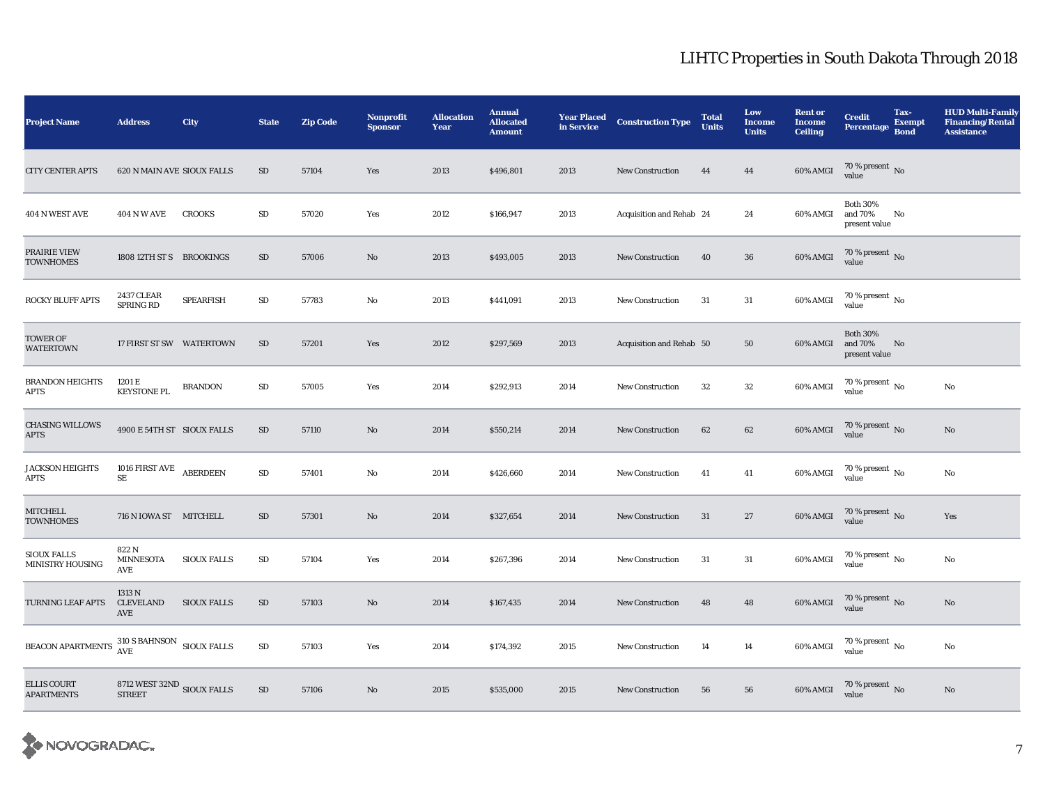| <b>Project Name</b>                     | <b>Address</b>                                     | City               | <b>State</b> | <b>Zip Code</b> | <b>Nonprofit</b><br><b>Sponsor</b> | <b>Allocation</b><br>Year | <b>Annual</b><br><b>Allocated</b><br><b>Amount</b> | <b>Year Placed</b><br>in Service | <b>Construction Type</b> | <b>Total</b><br><b>Units</b> | Low<br><b>Income</b><br><b>Units</b> | <b>Rent or</b><br><b>Income</b><br><b>Ceiling</b> | <b>Credit</b><br><b>Percentage</b>          | Tax-<br><b>Exempt</b><br><b>Bond</b> | <b>HUD Multi-Family</b><br><b>Financing/Rental</b><br><b>Assistance</b> |
|-----------------------------------------|----------------------------------------------------|--------------------|--------------|-----------------|------------------------------------|---------------------------|----------------------------------------------------|----------------------------------|--------------------------|------------------------------|--------------------------------------|---------------------------------------------------|---------------------------------------------|--------------------------------------|-------------------------------------------------------------------------|
| <b>CITY CENTER APTS</b>                 | 620 N MAIN AVE SIOUX FALLS                         |                    | SD           | 57104           | Yes                                | 2013                      | \$496,801                                          | 2013                             | <b>New Construction</b>  | 44                           | 44                                   | 60% AMGI                                          | 70 % present $\hbox{~No}$<br>value          |                                      |                                                                         |
| 404 N WEST AVE                          | <b>404 N W AVE</b>                                 | <b>CROOKS</b>      | ${\rm SD}$   | 57020           | Yes                                | 2012                      | \$166,947                                          | 2013                             | Acquisition and Rehab 24 |                              | 24                                   | 60% AMGI                                          | <b>Both 30%</b><br>and 70%<br>present value | No                                   |                                                                         |
| PRAIRIE VIEW<br><b>TOWNHOMES</b>        | 1808 12TH ST S BROOKINGS                           |                    | SD           | 57006           | No                                 | 2013                      | \$493,005                                          | 2013                             | <b>New Construction</b>  | 40                           | 36                                   | 60% AMGI                                          | $70\,\%$ present $\,$ No value              |                                      |                                                                         |
| ROCKY BLUFF APTS                        | <b>2437 CLEAR</b><br><b>SPRING RD</b>              | <b>SPEARFISH</b>   | SD           | 57783           | No                                 | 2013                      | \$441,091                                          | 2013                             | <b>New Construction</b>  | 31                           | 31                                   | 60% AMGI                                          | $70\,\%$ present $\,$ No value              |                                      |                                                                         |
| TOWER OF<br><b>WATERTOWN</b>            | 17 FIRST ST SW WATERTOWN                           |                    | ${\rm SD}$   | 57201           | Yes                                | 2012                      | \$297,569                                          | 2013                             | Acquisition and Rehab 50 |                              | 50                                   | 60% AMGI                                          | <b>Both 30%</b><br>and 70%<br>present value | No                                   |                                                                         |
| <b>BRANDON HEIGHTS</b><br>APTS          | 1201 E<br><b>KEYSTONE PL</b>                       | <b>BRANDON</b>     | ${\rm SD}$   | 57005           | Yes                                | 2014                      | \$292,913                                          | 2014                             | <b>New Construction</b>  | 32                           | 32                                   | 60% AMGI                                          | $70\,\%$ present $\,$ No $\,$<br>value      |                                      | No                                                                      |
| <b>CHASING WILLOWS</b><br>APTS          | 4900 E 54TH ST SIOUX FALLS                         |                    | SD           | 57110           | $\rm No$                           | 2014                      | \$550,214                                          | 2014                             | <b>New Construction</b>  | 62                           | 62                                   | 60% AMGI                                          | $70\,\%$ present $\,$ No value              |                                      | $\mathbf{N}\mathbf{o}$                                                  |
| <b>JACKSON HEIGHTS</b><br>APTS          | 1016 FIRST AVE ABERDEEN<br>SE                      |                    | ${\rm SD}$   | 57401           | $\mathbf{No}$                      | 2014                      | \$426,660                                          | 2014                             | <b>New Construction</b>  | 41                           | 41                                   | 60% AMGI                                          | 70 % present $\,$ No $\,$<br>value          |                                      | No                                                                      |
| <b>MITCHELL</b><br><b>TOWNHOMES</b>     | 716 N IOWA ST MITCHELL                             |                    | SD           | 57301           | No                                 | 2014                      | \$327,654                                          | 2014                             | <b>New Construction</b>  | 31                           | 27                                   | $60\%$ AMGI                                       | $70\,\%$ present $\,$ No value              |                                      | Yes                                                                     |
| <b>SIOUX FALLS</b><br>MINISTRY HOUSING  | 822 N<br>MINNESOTA<br>AVE                          | <b>SIOUX FALLS</b> | ${\rm SD}$   | 57104           | Yes                                | 2014                      | \$267,396                                          | 2014                             | <b>New Construction</b>  | 31                           | 31                                   | 60% AMGI                                          | $70\,\%$ present $\,$ No value              |                                      | $\mathbf{N}\mathbf{o}$                                                  |
| TURNING LEAF APTS                       | 1313 N<br><b>CLEVELAND</b><br>$\operatorname{AVE}$ | <b>SIOUX FALLS</b> | SD           | 57103           | No                                 | 2014                      | \$167,435                                          | 2014                             | <b>New Construction</b>  | 48                           | 48                                   | 60% AMGI                                          | $70\,\%$ present $\,$ No value              |                                      | $\mathbf{N}\mathbf{o}$                                                  |
| <b>BEACON APARTMENTS</b>                | $310$ S BAHNSON $\quad$ SIOUX FALLS AVE            |                    | ${\rm SD}$   | 57103           | Yes                                | 2014                      | \$174,392                                          | 2015                             | New Construction         | 14                           | 14                                   | 60% AMGI                                          | $70\,\%$ present $\,$ No value              |                                      | No                                                                      |
| <b>ELLIS COURT</b><br><b>APARTMENTS</b> | 8712 WEST 32ND SIOUX FALLS<br><b>STREET</b>        |                    | $\rm SD$     | 57106           | $\mathbf{N}\mathbf{o}$             | 2015                      | \$535,000                                          | 2015                             | New Construction         | 56                           | 56                                   | $60\%$ AMGI                                       | $70\,\%$ present $\,$ No value              |                                      | $\mathbf{N}\mathbf{o}$                                                  |

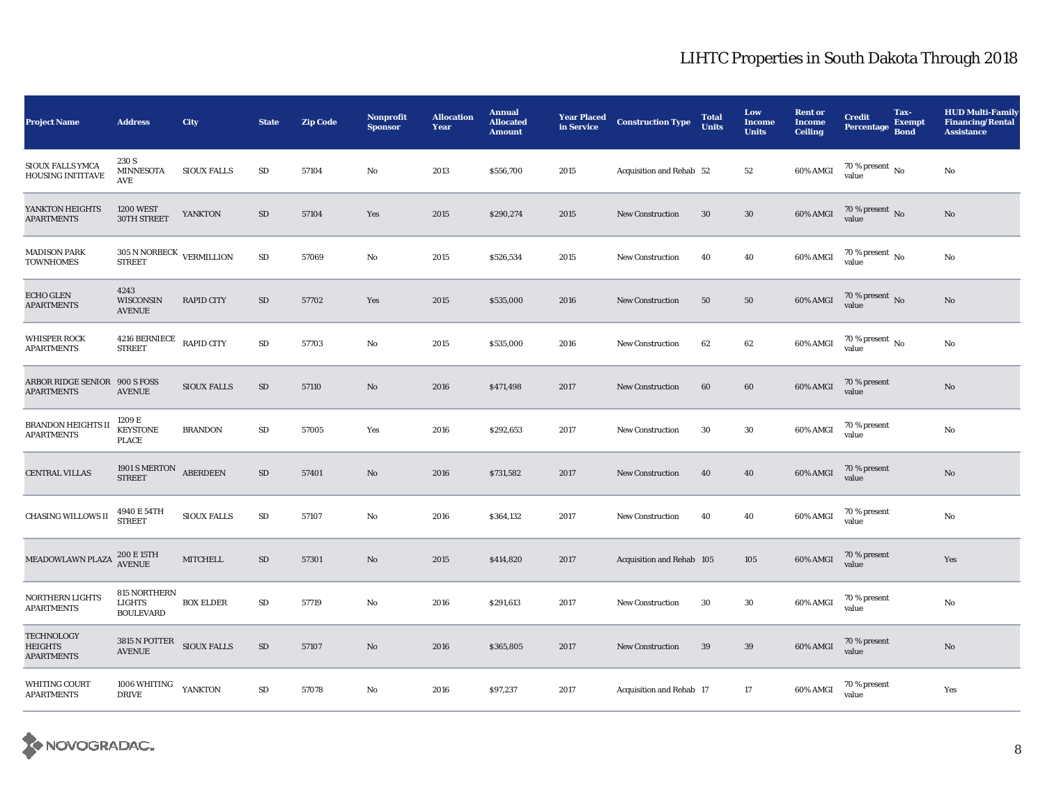| <b>Project Name</b>                                | <b>Address</b>                                    | City               | <b>State</b> | <b>Zip Code</b> | <b>Nonprofit</b><br><b>Sponsor</b> | <b>Allocation</b><br>Year | <b>Annual</b><br><b>Allocated</b><br><b>Amount</b> | <b>Year Placed</b><br>in Service | <b>Construction Type</b>  | <b>Total</b><br><b>Units</b> | Low<br><b>Income</b><br><b>Units</b> | <b>Rent or</b><br><b>Income</b><br><b>Ceiling</b> | <b>Credit</b><br><b>Percentage</b> | Tax-<br><b>Exempt</b><br><b>Bond</b> | <b>HUD Multi-Family</b><br><b>Financing/Rental</b><br><b>Assistance</b> |
|----------------------------------------------------|---------------------------------------------------|--------------------|--------------|-----------------|------------------------------------|---------------------------|----------------------------------------------------|----------------------------------|---------------------------|------------------------------|--------------------------------------|---------------------------------------------------|------------------------------------|--------------------------------------|-------------------------------------------------------------------------|
| SIOUX FALLS YMCA<br>HOUSING INITITAVE              | 230 S<br><b>MINNESOTA</b><br>$\operatorname{AVE}$ | <b>SIOUX FALLS</b> | $\rm SD$     | 57104           | No                                 | 2013                      | \$556,700                                          | 2015                             | Acquisition and Rehab 52  |                              | 52                                   | 60% AMGI                                          | 70 % present $\,$ No $\,$<br>value |                                      | No                                                                      |
| YANKTON HEIGHTS<br>APARTMENTS                      | <b>1200 WEST</b><br>30TH STREET                   | <b>YANKTON</b>     | $\rm SD$     | 57104           | Yes                                | 2015                      | \$290,274                                          | 2015                             | <b>New Construction</b>   | $30\,$                       | $30\,$                               | $60\%$ AMGI                                       | 70 % present $\,$ No $\,$<br>value |                                      | $\rm No$                                                                |
| <b>MADISON PARK</b><br><b>TOWNHOMES</b>            | 305 N NORBECK VERMILLION<br><b>STREET</b>         |                    | $\rm SD$     | 57069           | No                                 | 2015                      | \$526,534                                          | 2015                             | <b>New Construction</b>   | 40                           | 40                                   | 60% AMGI                                          | $70\,\%$ present $\,$ No value     |                                      | No                                                                      |
| <b>ECHO GLEN</b><br><b>APARTMENTS</b>              | 4243<br><b>WISCONSIN</b><br><b>AVENUE</b>         | <b>RAPID CITY</b>  | $\rm SD$     | 57702           | Yes                                | 2015                      | \$535,000                                          | 2016                             | <b>New Construction</b>   | 50                           | ${\bf 50}$                           | 60% AMGI                                          | $70\,\%$ present $\,$ No value     |                                      | $\mathbf{N}\mathbf{o}$                                                  |
| <b>WHISPER ROCK</b><br><b>APARTMENTS</b>           | 4216 BERNIECE<br><b>STREET</b>                    | <b>RAPID CITY</b>  | $\rm SD$     | 57703           | No                                 | 2015                      | \$535,000                                          | 2016                             | <b>New Construction</b>   | 62                           | 62                                   | 60% AMGI                                          | 70 % present $\,$ No $\,$<br>value |                                      | No                                                                      |
| ARBOR RIDGE SENIOR 900 S FOSS<br><b>APARTMENTS</b> | <b>AVENUE</b>                                     | <b>SIOUX FALLS</b> | $\rm SD$     | 57110           | $\mathbf{N}\mathbf{o}$             | 2016                      | \$471,498                                          | 2017                             | <b>New Construction</b>   | 60                           | 60                                   | 60% AMGI                                          | 70 % present<br>value              |                                      | $\rm No$                                                                |
| BRANDON HEIGHTS II<br><b>APARTMENTS</b>            | 1209 E<br><b>KEYSTONE</b><br><b>PLACE</b>         | <b>BRANDON</b>     | SD           | 57005           | Yes                                | 2016                      | \$292,653                                          | 2017                             | <b>New Construction</b>   | 30                           | $30\,$                               | 60% AMGI                                          | 70 % present<br>value              |                                      | No                                                                      |
| <b>CENTRAL VILLAS</b>                              | 1901 S MERTON<br><b>STREET</b>                    | <b>ABERDEEN</b>    | $\rm SD$     | 57401           | $\mathbf{N}\mathbf{o}$             | 2016                      | \$731,582                                          | 2017                             | <b>New Construction</b>   | 40                           | 40                                   | 60% AMGI                                          | 70 % present<br>value              |                                      | $\mathbf {No}$                                                          |
| <b>CHASING WILLOWS II</b>                          | $4940\to 54\text{TH}$ STREET                      | <b>SIOUX FALLS</b> | $\rm SD$     | 57107           | No                                 | 2016                      | \$364,132                                          | 2017                             | <b>New Construction</b>   | 40                           | 40                                   | 60% AMGI                                          | 70 % present<br>value              |                                      | No                                                                      |
| MEADOWLAWN PLAZA                                   | 200 E 15TH<br>AVENUE                              | <b>MITCHELL</b>    | SD           | 57301           | No                                 | 2015                      | \$414,820                                          | 2017                             | Acquisition and Rehab 105 |                              | 105                                  | 60% AMGI                                          | 70 % present<br>value              |                                      | Yes                                                                     |
| <b>NORTHERN LIGHTS</b><br><b>APARTMENTS</b>        | 815 NORTHERN<br><b>LIGHTS</b><br><b>BOULEVARD</b> | <b>BOX ELDER</b>   | $\rm SD$     | 57719           | $\mathbf{No}$                      | 2016                      | \$291,613                                          | 2017                             | <b>New Construction</b>   | 30                           | $30\,$                               | 60% AMGI                                          | 70 % present<br>value              |                                      | $\mathbf{N}\mathbf{o}$                                                  |
| <b>TECHNOLOGY</b><br>HEIGHTS<br><b>APARTMENTS</b>  | 3815 N POTTER SIOUX FALLS<br><b>AVENUE</b>        |                    | $\rm SD$     | 57107           | No                                 | 2016                      | \$365,805                                          | 2017                             | <b>New Construction</b>   | 39                           | 39                                   | 60% AMGI                                          | 70 % present<br>value              |                                      | No                                                                      |
| WHITING COURT<br><b>APARTMENTS</b>                 | 1006 WHITING<br><b>DRIVE</b>                      | YANKTON            | $\rm SD$     | 57078           | No                                 | 2016                      | \$97,237                                           | 2017                             | Acquisition and Rehab 17  |                              | 17                                   | 60% AMGI                                          | 70 % present<br>value              |                                      | Yes                                                                     |

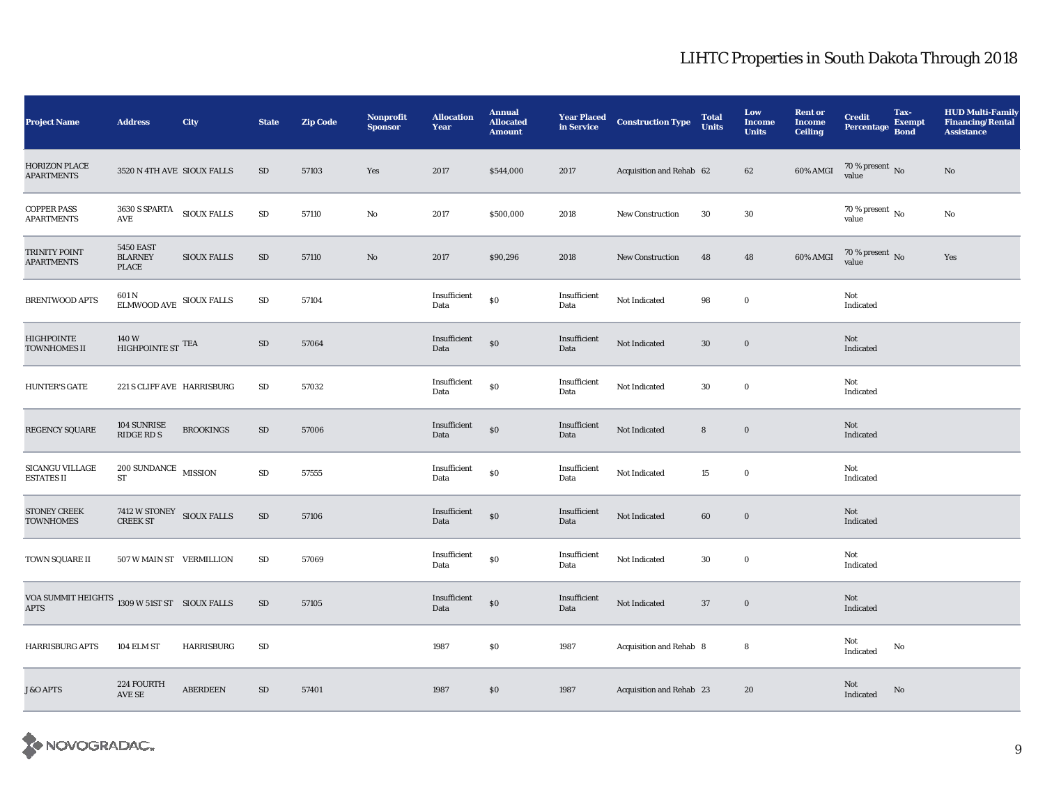| <b>Project Name</b>                                          | <b>Address</b>                                | City               | <b>State</b> | <b>Zip Code</b> | <b>Nonprofit</b><br><b>Sponsor</b> | <b>Allocation</b><br>Year | <b>Annual</b><br><b>Allocated</b><br><b>Amount</b> | <b>Year Placed</b><br>in Service | <b>Construction Type</b> | <b>Total</b><br><b>Units</b> | Low<br><b>Income</b><br><b>Units</b> | <b>Rent or</b><br><b>Income</b><br><b>Ceiling</b> | <b>Credit</b><br><b>Percentage</b> | Tax-<br><b>Exempt</b><br><b>Bond</b> | <b>HUD Multi-Family</b><br><b>Financing/Rental</b><br><b>Assistance</b> |
|--------------------------------------------------------------|-----------------------------------------------|--------------------|--------------|-----------------|------------------------------------|---------------------------|----------------------------------------------------|----------------------------------|--------------------------|------------------------------|--------------------------------------|---------------------------------------------------|------------------------------------|--------------------------------------|-------------------------------------------------------------------------|
| <b>HORIZON PLACE</b><br><b>APARTMENTS</b>                    | 3520 N 4TH AVE SIOUX FALLS                    |                    | SD           | 57103           | Yes                                | 2017                      | \$544,000                                          | 2017                             | Acquisition and Rehab 62 |                              | 62                                   | 60% AMGI                                          | $70\,\%$ present $\,$ No value     |                                      | $\mathbf{N}\mathbf{o}$                                                  |
| <b>COPPER PASS</b><br><b>APARTMENTS</b>                      | $3630\:\mathrm{S}\:\mathrm{SPARTA}$<br>AVE    | <b>SIOUX FALLS</b> | ${\rm SD}$   | 57110           | No                                 | 2017                      | \$500,000                                          | 2018                             | <b>New Construction</b>  | 30                           | 30                                   |                                                   | 70 % present $\,$ No $\,$<br>value |                                      | $\mathbf{N}\mathbf{o}$                                                  |
| TRINITY POINT<br><b>APARTMENTS</b>                           | <b>5450 EAST</b><br><b>BLARNEY</b><br>PLACE   | <b>SIOUX FALLS</b> | $\rm SD$     | 57110           | $\rm No$                           | 2017                      | \$90,296                                           | 2018                             | New Construction         | 48                           | 48                                   | 60% AMGI                                          | $70\,\%$ present $\,$ No value     |                                      | Yes                                                                     |
| <b>BRENTWOOD APTS</b>                                        | 601 N<br>ELMWOOD AVE SIOUX FALLS              |                    | ${\rm SD}$   | 57104           |                                    | Insufficient<br>Data      | \$0                                                | Insufficient<br>Data             | Not Indicated            | 98                           | $\mathbf 0$                          |                                                   | Not<br>Indicated                   |                                      |                                                                         |
| HIGHPOINTE<br><b>TOWNHOMES II</b>                            | 140W<br>HIGHPOINTE ST $^{\text{TEA}}$         |                    | SD           | 57064           |                                    | Insufficient<br>Data      | $\$0$                                              | Insufficient<br>Data             | Not Indicated            | $30\,$                       | $\bf{0}$                             |                                                   | Not<br>Indicated                   |                                      |                                                                         |
| <b>HUNTER'S GATE</b>                                         | 221 S CLIFF AVE HARRISBURG                    |                    | $\rm SD$     | 57032           |                                    | Insufficient<br>Data      | \$0                                                | Insufficient<br>Data             | Not Indicated            | 30                           | $\bf{0}$                             |                                                   | Not<br>Indicated                   |                                      |                                                                         |
| REGENCY SQUARE                                               | 104 SUNRISE<br>RIDGE RD S                     | <b>BROOKINGS</b>   | $\rm SD$     | 57006           |                                    | Insufficient<br>Data      | $\$0$                                              | Insufficient<br>Data             | Not Indicated            | $8\phantom{1}$               | $\bf{0}$                             |                                                   | Not<br>Indicated                   |                                      |                                                                         |
| SICANGU VILLAGE<br><b>ESTATES II</b>                         | $200$ SUNDANCE $\,$ MISSION $\,$<br><b>ST</b> |                    | ${\rm SD}$   | 57555           |                                    | Insufficient<br>Data      | \$0                                                | Insufficient<br>Data             | Not Indicated            | 15                           | $\bf{0}$                             |                                                   | Not<br>Indicated                   |                                      |                                                                         |
| <b>STONEY CREEK</b><br><b>TOWNHOMES</b>                      | $7412$ W STONEY $\quad$ SIOUX FALLS CREEK ST  |                    | ${\rm SD}$   | 57106           |                                    | Insufficient<br>Data      | \$0                                                | Insufficient<br>Data             | Not Indicated            | 60                           | $\mathbf 0$                          |                                                   | Not<br>Indicated                   |                                      |                                                                         |
| TOWN SQUARE II                                               | 507 W MAIN ST VERMILLION                      |                    | SD           | 57069           |                                    | Insufficient<br>Data      | $\$0$                                              | Insufficient<br>Data             | Not Indicated            | 30                           | $\bf{0}$                             |                                                   | Not<br>Indicated                   |                                      |                                                                         |
| VOA SUMMIT HEIGHTS 1309 W 51ST ST SIOUX FALLS<br><b>APTS</b> |                                               |                    | $\rm SD$     | 57105           |                                    | Insufficient<br>Data      | $\$0$                                              | Insufficient<br>Data             | Not Indicated            | 37                           | $\bf{0}$                             |                                                   | Not<br>Indicated                   |                                      |                                                                         |
| <b>HARRISBURG APTS</b>                                       | 104 ELM ST                                    | <b>HARRISBURG</b>  | ${\rm SD}$   |                 |                                    | 1987                      | $\$0$                                              | 1987                             | Acquisition and Rehab 8  |                              | 8                                    |                                                   | Not<br>Indicated                   | No                                   |                                                                         |
| <b>J&amp;O APTS</b>                                          | 224 FOURTH<br>AVE SE                          | <b>ABERDEEN</b>    | ${\rm SD}$   | 57401           |                                    | 1987                      | $\$0$                                              | 1987                             | Acquisition and Rehab 23 |                              | 20                                   |                                                   | Not<br>Indicated                   | No                                   |                                                                         |

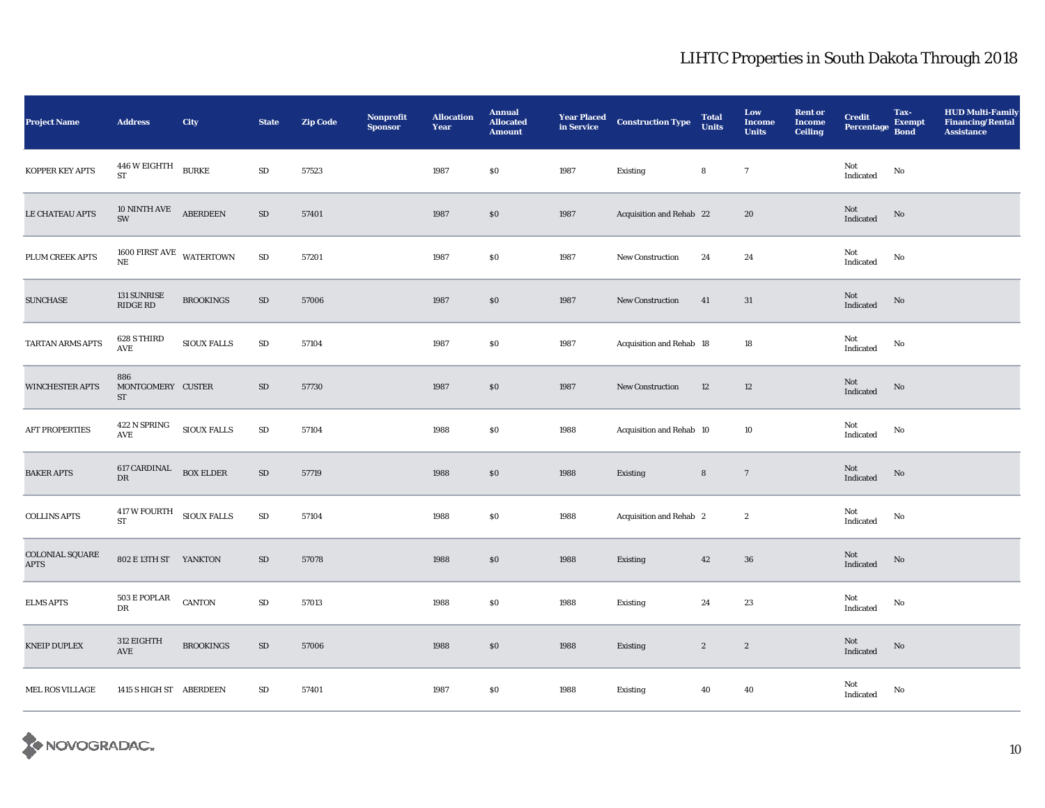| <b>Project Name</b>            | <b>Address</b>                                                                      | City               | <b>State</b> | <b>Zip Code</b> | Nonprofit<br><b>Sponsor</b> | <b>Allocation</b><br>Year | <b>Annual</b><br><b>Allocated</b><br><b>Amount</b> | <b>Year Placed<br/>in Service</b> | <b>Construction Type</b> | <b>Total</b><br><b>Units</b> | Low<br><b>Income</b><br><b>Units</b> | <b>Rent or</b><br><b>Income</b><br><b>Ceiling</b> | <b>Credit</b><br><b>Percentage</b>                | Tax-<br><b>Exempt</b><br><b>Bond</b> | <b>HUD Multi-Family</b><br><b>Financing/Rental</b><br><b>Assistance</b> |
|--------------------------------|-------------------------------------------------------------------------------------|--------------------|--------------|-----------------|-----------------------------|---------------------------|----------------------------------------------------|-----------------------------------|--------------------------|------------------------------|--------------------------------------|---------------------------------------------------|---------------------------------------------------|--------------------------------------|-------------------------------------------------------------------------|
| KOPPER KEY APTS                | $446\,\mathrm{W}$ EIGHTH BURKE<br>${\rm ST}$                                        |                    | ${\rm SD}$   | 57523           |                             | 1987                      | $\$0$                                              | 1987                              | Existing                 | ${\bf 8}$                    | $\overline{7}$                       |                                                   | Not<br>Indicated                                  | $\mathbf {No}$                       |                                                                         |
| LE CHATEAU APTS                | 10 NINTH AVE ABERDEEN<br>SW                                                         |                    | $\rm SD$     | 57401           |                             | 1987                      | $\$0$                                              | 1987                              | Acquisition and Rehab 22 |                              | 20                                   |                                                   | Not<br>Indicated                                  | $\rm No$                             |                                                                         |
| PLUM CREEK APTS                | $1600$ FIRST AVE $$\tt WATERTOWN$$ NE                                               |                    | ${\bf SD}$   | 57201           |                             | 1987                      | \$0                                                | 1987                              | New Construction         | 24                           | 24                                   |                                                   | Not<br>Indicated                                  | $\rm No$                             |                                                                         |
| <b>SUNCHASE</b>                | 131 SUNRISE<br>RIDGE RD                                                             | <b>BROOKINGS</b>   | $\rm SD$     | 57006           |                             | 1987                      | $\$0$                                              | 1987                              | <b>New Construction</b>  | 41                           | 31                                   |                                                   | Not<br>Indicated                                  | $\rm No$                             |                                                                         |
| TARTAN ARMS APTS               | 628 S THIRD<br>$\operatorname{AVE}$                                                 | <b>SIOUX FALLS</b> | ${\rm SD}$   | 57104           |                             | 1987                      | \$0                                                | 1987                              | Acquisition and Rehab 18 |                              | 18                                   |                                                   | Not<br>Indicated                                  | $\rm No$                             |                                                                         |
| WINCHESTER APTS                | 886<br>MONTGOMERY CUSTER<br>ST                                                      |                    | $\rm SD$     | 57730           |                             | 1987                      | \$0                                                | 1987                              | New Construction         | 12                           | 12                                   |                                                   | Not<br>Indicated                                  | $\rm No$                             |                                                                         |
| <b>AFT PROPERTIES</b>          | 422 N SPRING<br>AVE                                                                 | SIOUX FALLS        | $\rm SD$     | 57104           |                             | 1988                      | \$0                                                | 1988                              | Acquisition and Rehab 10 |                              | 10                                   |                                                   | Not<br>Indicated                                  | $\mathbf{No}$                        |                                                                         |
| <b>BAKER APTS</b>              | ${\begin{tabular}{ll} \bf 617 CARDINAL & \bf 60X ELDER \\ \bf DR & \end{tabular} }$ |                    | ${\rm SD}$   | 57719           |                             | 1988                      | $\$0$                                              | 1988                              | Existing                 | ${\bf 8}$                    | $\overline{7}$                       |                                                   | Not<br>$\label{thm:indicated} \textbf{Indicated}$ | No                                   |                                                                         |
| <b>COLLINS APTS</b>            | $417\,\mathrm{W}$ FOURTH SIOUX FALLS ST                                             |                    | ${\rm SD}$   | 57104           |                             | 1988                      | \$0                                                | 1988                              | Acquisition and Rehab 2  |                              | $\boldsymbol{2}$                     |                                                   | Not<br>Indicated                                  | No                                   |                                                                         |
| COLONIAL SQUARE<br><b>APTS</b> | 802 E 13TH ST YANKTON                                                               |                    | ${\rm SD}$   | 57078           |                             | 1988                      | $\$0$                                              | 1988                              | Existing                 | $42\,$                       | $36\,$                               |                                                   | Not<br>Indicated                                  | $\mathbf{N}\mathbf{o}$               |                                                                         |
| <b>ELMS APTS</b>               | 503 E POPLAR<br>DR                                                                  | <b>CANTON</b>      | ${\rm SD}$   | 57013           |                             | 1988                      | $\$0$                                              | 1988                              | Existing                 | 24                           | 23                                   |                                                   | Not<br>Indicated                                  | No                                   |                                                                         |
| <b>KNEIP DUPLEX</b>            | 312 EIGHTH<br>$\operatorname{AVE}$                                                  | <b>BROOKINGS</b>   | ${\rm SD}$   | 57006           |                             | 1988                      | $\$0$                                              | 1988                              | Existing                 | $\boldsymbol{2}$             | $\sqrt{2}$                           |                                                   | Not<br>Indicated                                  | $\rm No$                             |                                                                         |
| MEL ROS VILLAGE                | 1415 S HIGH ST ABERDEEN                                                             |                    | $\rm SD$     | 57401           |                             | 1987                      | $\$0$                                              | 1988                              | Existing                 | 40                           | 40                                   |                                                   | Not<br>Indicated                                  | No                                   |                                                                         |

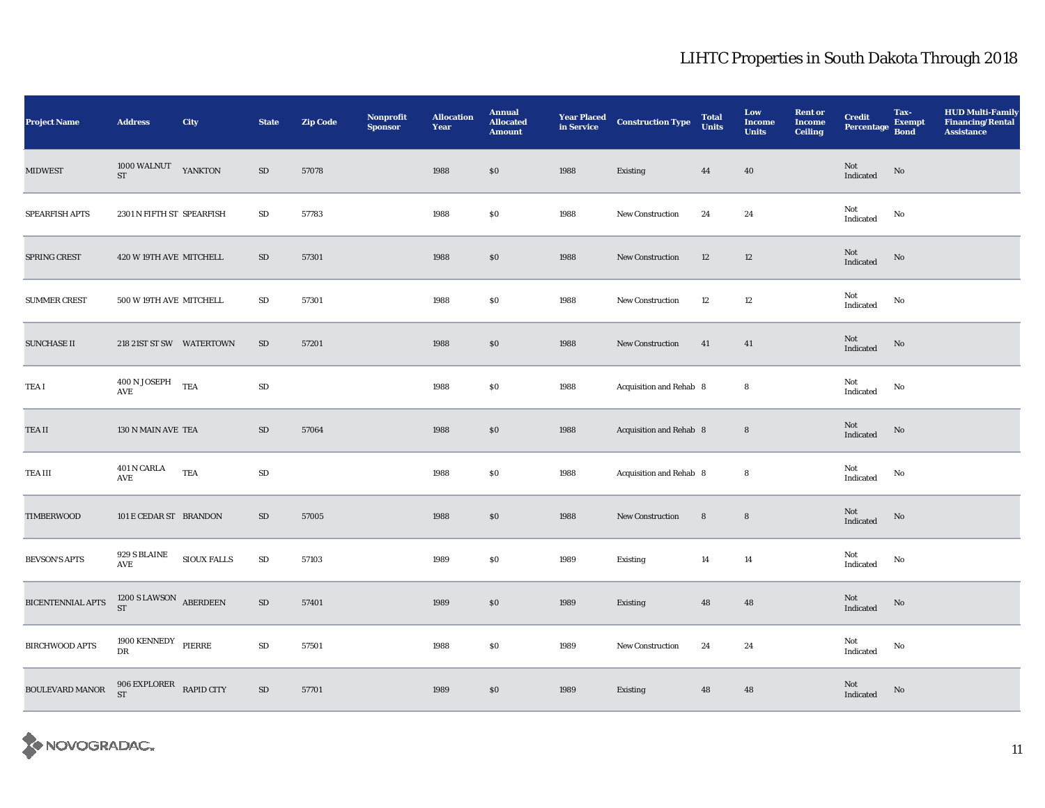| <b>Project Name</b>   | <b>Address</b>                           | <b>City</b> | <b>State</b> | <b>Zip Code</b> | Nonprofit<br><b>Sponsor</b> | <b>Allocation</b><br>Year | <b>Annual</b><br><b>Allocated</b><br><b>Amount</b> | <b>Year Placed</b><br>in Service | <b>Construction Type</b> | <b>Total</b><br><b>Units</b> | Low<br><b>Income</b><br><b>Units</b> | <b>Rent or</b><br><b>Income</b><br><b>Ceiling</b> | <b>Credit</b><br><b>Percentage</b>                | Tax-<br><b>Exempt</b><br><b>Bond</b> | <b>HUD Multi-Family</b><br><b>Financing/Rental</b><br><b>Assistance</b> |
|-----------------------|------------------------------------------|-------------|--------------|-----------------|-----------------------------|---------------------------|----------------------------------------------------|----------------------------------|--------------------------|------------------------------|--------------------------------------|---------------------------------------------------|---------------------------------------------------|--------------------------------------|-------------------------------------------------------------------------|
| <b>MIDWEST</b>        | 1000 WALNUT<br>$\operatorname{ST}$       | YANKTON     | $\rm SD$     | 57078           |                             | 1988                      | \$0                                                | 1988                             | Existing                 | 44                           | 40                                   |                                                   | Not<br>Indicated                                  | $\rm No$                             |                                                                         |
| SPEARFISH APTS        | 2301 N FIFTH ST SPEARFISH                |             | SD           | 57783           |                             | 1988                      | \$0                                                | 1988                             | <b>New Construction</b>  | 24                           | 24                                   |                                                   | Not<br>Indicated                                  | No                                   |                                                                         |
| SPRING CREST          | 420 W 19TH AVE MITCHELL                  |             | $\rm SD$     | 57301           |                             | 1988                      | \$0                                                | 1988                             | <b>New Construction</b>  | 12                           | 12                                   |                                                   | Not<br>$\label{thm:indicated} \textbf{Indicated}$ | $\rm No$                             |                                                                         |
| <b>SUMMER CREST</b>   | 500 W 19TH AVE MITCHELL                  |             | $\rm SD$     | 57301           |                             | 1988                      | $\$0$                                              | 1988                             | <b>New Construction</b>  | 12                           | 12                                   |                                                   | Not<br>$\operatorname{Indicated}$                 | $\rm No$                             |                                                                         |
| <b>SUNCHASE II</b>    | 218 21ST ST SW WATERTOWN                 |             | SD           | 57201           |                             | 1988                      | \$0                                                | 1988                             | <b>New Construction</b>  | 41                           | 41                                   |                                                   | Not<br>Indicated                                  | No                                   |                                                                         |
| TEA I                 | 400 N JOSEPH TEA<br>$\operatorname{AVE}$ |             | ${\rm SD}$   |                 |                             | 1988                      | $\$0$                                              | 1988                             | Acquisition and Rehab 8  |                              | 8                                    |                                                   | Not<br>Indicated                                  | No                                   |                                                                         |
| TEA II                | 130 N MAIN AVE TEA                       |             | SD           | 57064           |                             | 1988                      | \$0                                                | 1988                             | Acquisition and Rehab 8  |                              | $\bf8$                               |                                                   | Not<br>Indicated                                  | No                                   |                                                                         |
| TEA III               | 401 N CARLA<br>AVE                       | <b>TEA</b>  | ${\rm SD}$   |                 |                             | 1988                      | \$0                                                | 1988                             | Acquisition and Rehab 8  |                              | 8                                    |                                                   | Not<br>Indicated                                  | No                                   |                                                                         |
| <b>TIMBERWOOD</b>     | 101 E CEDAR ST BRANDON                   |             | $\rm SD$     | 57005           |                             | 1988                      | \$0                                                | 1988                             | <b>New Construction</b>  | ${\bf 8}$                    | ${\bf 8}$                            |                                                   | Not<br>Indicated                                  | $\rm No$                             |                                                                         |
| <b>BEVSON'S APTS</b>  | 929 S BLAINE<br>$\operatorname{AVE}$     | SIOUX FALLS | ${\rm SD}$   | 57103           |                             | 1989                      | \$0                                                | 1989                             | Existing                 | 14                           | 14                                   |                                                   | Not<br>$\operatorname{Indicated}$                 | No                                   |                                                                         |
| BICENTENNIAL APTS     | $1200$ S LAWSON $$\sf ABERDEEN$$ ST      |             | $\rm SD$     | 57401           |                             | 1989                      | \$0                                                | 1989                             | Existing                 | 48                           | 48                                   |                                                   | Not<br>Indicated                                  | $\rm No$                             |                                                                         |
| <b>BIRCHWOOD APTS</b> | $1900$ KENNEDY $$\tt PIERRE$$ DR         |             | ${\rm SD}$   | 57501           |                             | 1988                      | \$0                                                | 1989                             | New Construction         | 24                           | 24                                   |                                                   | Not<br>Indicated                                  | No                                   |                                                                         |
| BOULEVARD MANOR       | 906 EXPLORER RAPID CITY ST               |             | ${\bf SD}$   | 57701           |                             | 1989                      | $\$0$                                              | 1989                             | Existing                 | 48                           | 48                                   |                                                   | Not<br>Indicated                                  | $\rm No$                             |                                                                         |

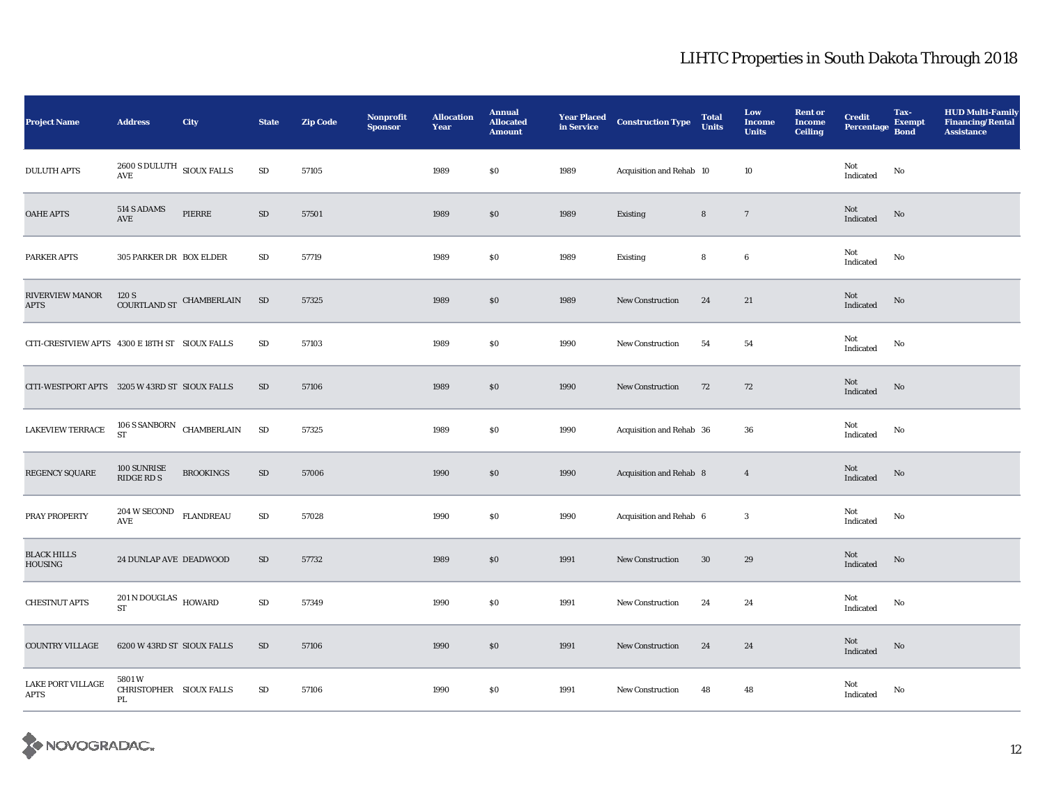| <b>Project Name</b>                            | <b>Address</b>                                                   | City                                                                                                                                              | <b>State</b> | <b>Zip Code</b> | Nonprofit<br><b>Sponsor</b> | <b>Allocation</b><br>Year | <b>Annual</b><br><b>Allocated</b><br><b>Amount</b> | <b>Year Placed<br/>in Service</b> | <b>Construction Type</b> | <b>Total</b><br><b>Units</b> | Low<br><b>Income</b><br><b>Units</b> | <b>Rent or</b><br><b>Income</b><br><b>Ceiling</b> | <b>Credit</b><br><b>Percentage</b>                | Tax-<br><b>Exempt</b><br><b>Bond</b> | <b>HUD Multi-Family</b><br><b>Financing/Rental</b><br><b>Assistance</b> |
|------------------------------------------------|------------------------------------------------------------------|---------------------------------------------------------------------------------------------------------------------------------------------------|--------------|-----------------|-----------------------------|---------------------------|----------------------------------------------------|-----------------------------------|--------------------------|------------------------------|--------------------------------------|---------------------------------------------------|---------------------------------------------------|--------------------------------------|-------------------------------------------------------------------------|
| <b>DULUTH APTS</b>                             | $2600$ S DULUTH $\,$ SIOUX FALLS<br>$\operatorname{AVE}$         |                                                                                                                                                   | $\rm SD$     | 57105           |                             | 1989                      | $\$0$                                              | 1989                              | Acquisition and Rehab 10 |                              | 10                                   |                                                   | Not<br>Indicated                                  | $\rm No$                             |                                                                         |
| <b>OAHE APTS</b>                               | 514 S ADAMS<br>$\operatorname{AVE}$                              | PIERRE                                                                                                                                            | $\rm SD$     | 57501           |                             | 1989                      | \$0                                                | 1989                              | Existing                 | 8                            | $\overline{7}$                       |                                                   | Not<br>Indicated                                  | No                                   |                                                                         |
| PARKER APTS                                    | 305 PARKER DR BOX ELDER                                          |                                                                                                                                                   | SD           | 57719           |                             | 1989                      | \$0                                                | 1989                              | Existing                 | 8                            | $\boldsymbol{6}$                     |                                                   | Not<br>Indicated                                  | $\mathbf{N}\mathbf{o}$               |                                                                         |
| RIVERVIEW MANOR<br><b>APTS</b>                 | 120 S                                                            | $\begin{minipage}{.4\linewidth} \textbf{COURTLAND} \textbf{ST} \end{minipage} \begin{minipage}{.4\linewidth} \textbf{CHAMBERLAIN} \end{minipage}$ | SD           | 57325           |                             | 1989                      | \$0                                                | 1989                              | <b>New Construction</b>  | 24                           | 21                                   |                                                   | Not<br>Indicated                                  | $\rm No$                             |                                                                         |
| CITI-CRESTVIEW APTS 4300 E 18TH ST SIOUX FALLS |                                                                  |                                                                                                                                                   | $\rm SD$     | 57103           |                             | 1989                      | \$0                                                | 1990                              | New Construction         | 54                           | ${\bf 54}$                           |                                                   | Not<br>Indicated                                  | No                                   |                                                                         |
| CITI-WESTPORT APTS 3205 W 43RD ST SIOUX FALLS  |                                                                  |                                                                                                                                                   | $\rm SD$     | 57106           |                             | 1989                      | \$0                                                | 1990                              | <b>New Construction</b>  | 72                           | 72                                   |                                                   | Not<br>$\operatorname{Indicated}$                 | $\rm No$                             |                                                                         |
| <b>LAKEVIEW TERRACE</b>                        | $106$ S SANBORN $\,$ CHAMBERLAIN $\,$ ST                         |                                                                                                                                                   | $\rm SD$     | 57325           |                             | 1989                      | \$0                                                | 1990                              | Acquisition and Rehab 36 |                              | 36                                   |                                                   | Not<br>$\label{thm:indicated} \textbf{Indicated}$ | No                                   |                                                                         |
| REGENCY SQUARE                                 | 100 SUNRISE<br>RIDGE RD S                                        | <b>BROOKINGS</b>                                                                                                                                  | $\rm SD$     | 57006           |                             | 1990                      | \$0                                                | 1990                              | Acquisition and Rehab 8  |                              | $\overline{4}$                       |                                                   | Not<br>Indicated                                  | No                                   |                                                                         |
| PRAY PROPERTY                                  | $204\,\mathrm{W}\,\mathrm{SECOND}\quad\mathrm{FLANDREAU}$<br>AVE |                                                                                                                                                   | ${\rm SD}$   | 57028           |                             | 1990                      | \$0                                                | 1990                              | Acquisition and Rehab 6  |                              | 3                                    |                                                   | Not<br>Indicated                                  | No                                   |                                                                         |
| <b>BLACK HILLS</b><br>HOUSING                  | 24 DUNLAP AVE DEADWOOD                                           |                                                                                                                                                   | $\rm SD$     | 57732           |                             | 1989                      | $\$0$                                              | 1991                              | New Construction         | $30\,$                       | 29                                   |                                                   | Not<br>Indicated                                  | $\rm\thinspace No$                   |                                                                         |
| <b>CHESTNUT APTS</b>                           | $201\,\mathrm{N}\,\mathrm{DOUGLAS}$ HOWARD<br><b>ST</b>          |                                                                                                                                                   | $\rm SD$     | 57349           |                             | 1990                      | $\$0$                                              | 1991                              | New Construction         | 24                           | 24                                   |                                                   | Not<br>Indicated                                  | $\mathbf{N}\mathbf{o}$               |                                                                         |
| COUNTRY VILLAGE                                | 6200 W 43RD ST SIOUX FALLS                                       |                                                                                                                                                   | SD           | 57106           |                             | 1990                      | $\$0$                                              | 1991                              | <b>New Construction</b>  | 24                           | 24                                   |                                                   | Not<br>Indicated                                  | No                                   |                                                                         |
| <b>LAKE PORT VILLAGE</b><br>APTS               | 5801W<br>CHRISTOPHER SIOUX FALLS<br>PL                           |                                                                                                                                                   | SD           | 57106           |                             | 1990                      | \$0                                                | 1991                              | <b>New Construction</b>  | 48                           | 48                                   |                                                   | Not<br>Indicated                                  | No                                   |                                                                         |

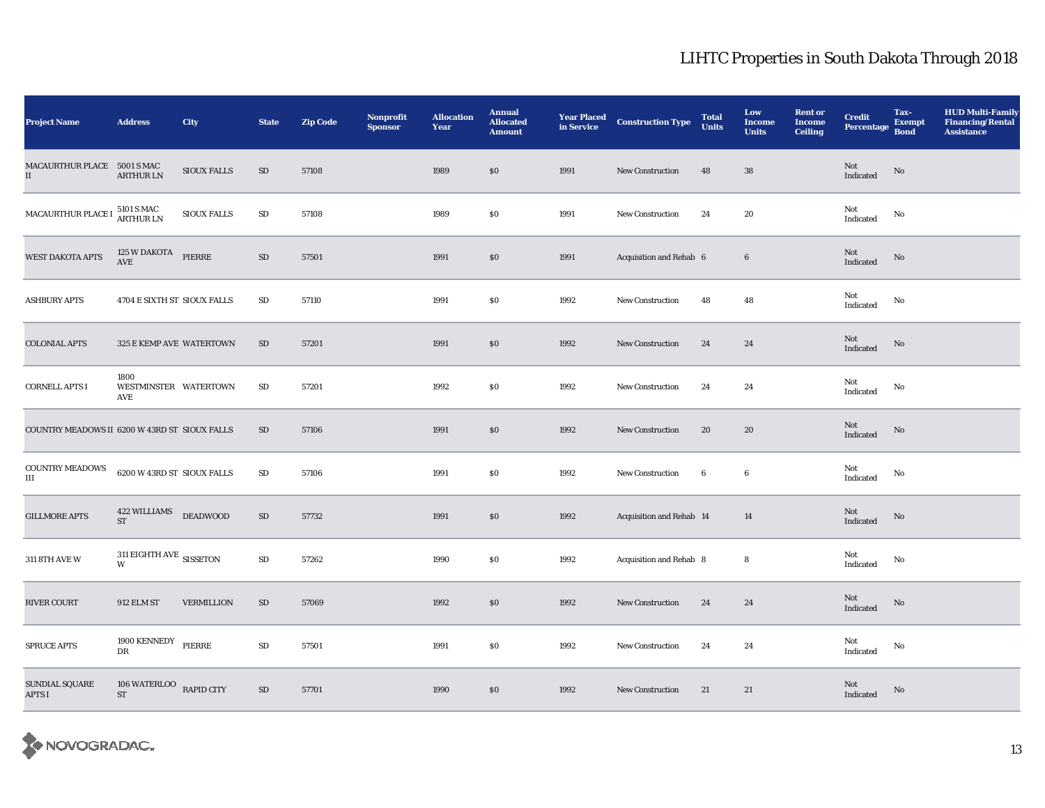| <b>Project Name</b>                           | <b>Address</b>                               | <b>City</b>        | <b>State</b> | <b>Zip Code</b> | Nonprofit<br><b>Sponsor</b> | <b>Allocation</b><br>Year | <b>Annual</b><br><b>Allocated</b><br><b>Amount</b> | <b>Year Placed</b><br>in Service | <b>Construction Type</b> | <b>Total</b><br><b>Units</b> | Low<br><b>Income</b><br><b>Units</b> | <b>Rent or</b><br><b>Income</b><br><b>Ceiling</b> | <b>Credit</b><br><b>Percentage</b> | Tax-<br><b>Exempt</b><br><b>Bond</b> | <b>HUD Multi-Family</b><br><b>Financing/Rental</b><br><b>Assistance</b> |
|-----------------------------------------------|----------------------------------------------|--------------------|--------------|-----------------|-----------------------------|---------------------------|----------------------------------------------------|----------------------------------|--------------------------|------------------------------|--------------------------------------|---------------------------------------------------|------------------------------------|--------------------------------------|-------------------------------------------------------------------------|
| MACAURTHUR PLACE 5001 S MAC<br>$\rm II$       | <b>ARTHUR LN</b>                             | SIOUX FALLS        | ${\rm SD}$   | 57108           |                             | 1989                      | \$0                                                | 1991                             | New Construction         | 48                           | 38                                   |                                                   | Not<br>Indicated                   | $\rm No$                             |                                                                         |
| MACAURTHUR PLACE I                            | 5101 S MAC<br>ARTHUR LN                      | <b>SIOUX FALLS</b> | $\rm SD$     | 57108           |                             | 1989                      | \$0                                                | 1991                             | <b>New Construction</b>  | 24                           | 20                                   |                                                   | Not<br>Indicated                   | No                                   |                                                                         |
| <b>WEST DAKOTA APTS</b>                       | 125 W DAKOTA PIERRE<br>$\operatorname{AVE}$  |                    | $\rm SD$     | 57501           |                             | 1991                      | \$0                                                | 1991                             | Acquisition and Rehab 6  |                              | $6\phantom{.}6$                      |                                                   | Not<br>Indicated                   | No                                   |                                                                         |
| <b>ASHBURY APTS</b>                           | 4704 E SIXTH ST SIOUX FALLS                  |                    | $\rm SD$     | 57110           |                             | 1991                      | \$0                                                | 1992                             | <b>New Construction</b>  | 48                           | 48                                   |                                                   | Not<br>Indicated                   | $\mathbf{N}\mathbf{o}$               |                                                                         |
| <b>COLONIAL APTS</b>                          | 325 E KEMP AVE WATERTOWN                     |                    | $\rm SD$     | 57201           |                             | 1991                      | \$0                                                | 1992                             | <b>New Construction</b>  | 24                           | 24                                   |                                                   | Not<br>Indicated                   | No                                   |                                                                         |
| <b>CORNELL APTS I</b>                         | 1800<br>WESTMINSTER WATERTOWN<br>AVE         |                    | ${\rm SD}$   | 57201           |                             | 1992                      | \$0                                                | 1992                             | <b>New Construction</b>  | 24                           | 24                                   |                                                   | Not<br>Indicated                   | No                                   |                                                                         |
| COUNTRY MEADOWS II 6200 W 43RD ST SIOUX FALLS |                                              |                    | SD           | 57106           |                             | 1991                      | \$0                                                | 1992                             | <b>New Construction</b>  | 20                           | 20                                   |                                                   | Not<br>Indicated                   | No                                   |                                                                         |
| COUNTRY MEADOWS<br>Ш                          | 6200 W 43RD ST SIOUX FALLS                   |                    | $\rm SD$     | 57106           |                             | 1991                      | \$0                                                | 1992                             | <b>New Construction</b>  | -6                           | 6                                    |                                                   | Not<br>Indicated                   | No                                   |                                                                         |
| <b>GILLMORE APTS</b>                          | 422 WILLIAMS DEADWOOD<br>$\operatorname{ST}$ |                    | ${\rm SD}$   | 57732           |                             | 1991                      | \$0                                                | 1992                             | Acquisition and Rehab 14 |                              | 14                                   |                                                   | Not<br>Indicated                   | No                                   |                                                                         |
| 311 8TH AVE W                                 | 311 EIGHTH AVE SISSETON<br>W                 |                    | $\rm SD$     | 57262           |                             | 1990                      | \$0                                                | 1992                             | Acquisition and Rehab 8  |                              | 8                                    |                                                   | Not<br>Indicated                   | $\rm No$                             |                                                                         |
| <b>RIVER COURT</b>                            | <b>912 ELM ST</b>                            | <b>VERMILLION</b>  | $\rm SD$     | 57069           |                             | 1992                      | \$0                                                | 1992                             | <b>New Construction</b>  | 24                           | 24                                   |                                                   | Not<br>Indicated                   | No                                   |                                                                         |
| <b>SPRUCE APTS</b>                            | 1900 KENNEDY<br>$_{\rm DR}$                  | PIERRE             | $\rm SD$     | 57501           |                             | 1991                      | \$0                                                | 1992                             | <b>New Construction</b>  | 24                           | 24                                   |                                                   | Not<br>Indicated                   | No                                   |                                                                         |
| <b>SUNDIAL SQUARE</b><br>APTS I               | 106 WATERLOO<br><b>ST</b>                    | <b>RAPID CITY</b>  | $\rm SD$     | 57701           |                             | 1990                      | \$0                                                | 1992                             | <b>New Construction</b>  | 21                           | 21                                   |                                                   | Not<br>Indicated                   | No                                   |                                                                         |

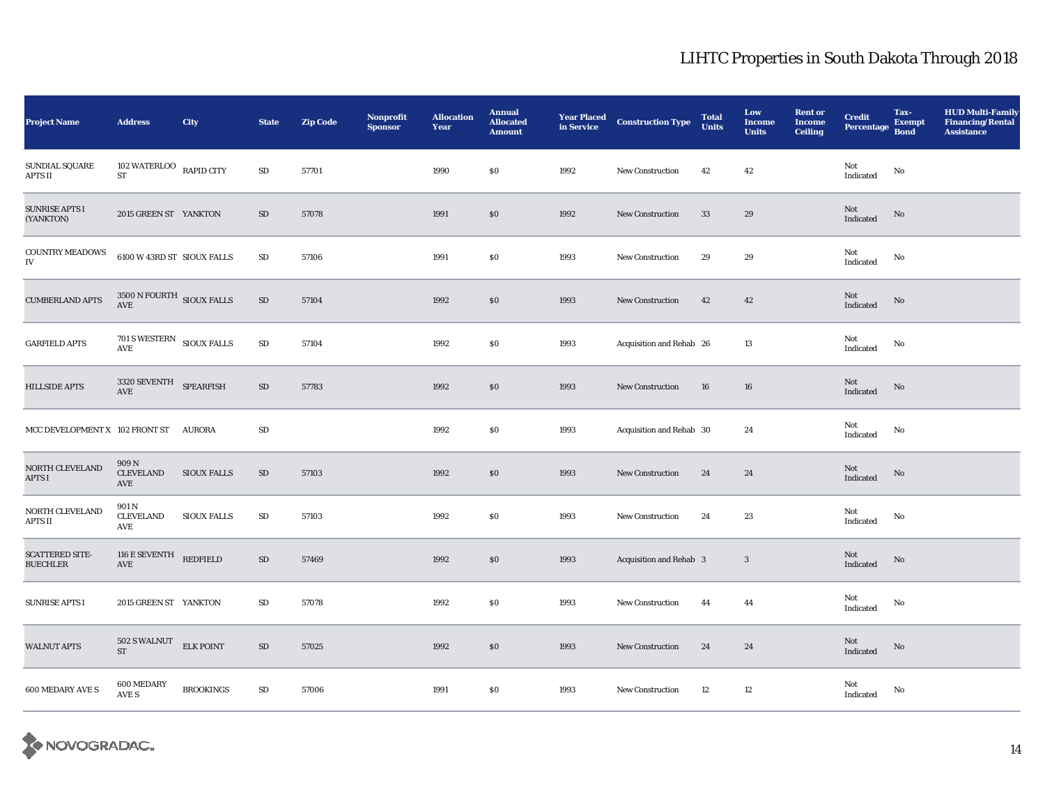| <b>Project Name</b>                       | <b>Address</b>                                            | <b>City</b>        | <b>State</b> | <b>Zip Code</b> | Nonprofit<br><b>Sponsor</b> | <b>Allocation</b><br>Year | <b>Annual</b><br><b>Allocated</b><br><b>Amount</b> | <b>Year Placed<br/>in Service</b> | <b>Construction Type</b> | <b>Total</b><br><b>Units</b> | Low<br><b>Income</b><br><b>Units</b> | <b>Rent or</b><br><b>Income</b><br><b>Ceiling</b> | <b>Credit</b><br><b>Percentage</b> | Tax-<br><b>Exempt</b><br><b>Bond</b> | <b>HUD Multi-Family</b><br><b>Financing/Rental</b><br><b>Assistance</b> |
|-------------------------------------------|-----------------------------------------------------------|--------------------|--------------|-----------------|-----------------------------|---------------------------|----------------------------------------------------|-----------------------------------|--------------------------|------------------------------|--------------------------------------|---------------------------------------------------|------------------------------------|--------------------------------------|-------------------------------------------------------------------------|
| SUNDIAL SQUARE<br>APTS II                 | 102 WATERLOO $\;$ RAPID CITY<br><b>ST</b>                 |                    | $\rm SD$     | 57701           |                             | 1990                      | $\$0$                                              | 1992                              | <b>New Construction</b>  | 42                           | 42                                   |                                                   | Not<br>Indicated                   | $\rm No$                             |                                                                         |
| <b>SUNRISE APTS I</b><br>(YANKTON)        | 2015 GREEN ST YANKTON                                     |                    | SD           | 57078           |                             | 1991                      | \$0                                                | 1992                              | <b>New Construction</b>  | 33                           | 29                                   |                                                   | Not<br>Indicated                   | No                                   |                                                                         |
| <b>COUNTRY MEADOWS</b><br>${\rm IV}$      | 6100 W 43RD ST SIOUX FALLS                                |                    | ${\rm SD}$   | 57106           |                             | 1991                      | \$0\$                                              | 1993                              | New Construction         | 29                           | 29                                   |                                                   | Not<br>Indicated                   | No                                   |                                                                         |
| <b>CUMBERLAND APTS</b>                    | $3500$ N FOURTH $\,$ SIOUX FALLS AVE                      |                    | $\rm SD$     | 57104           |                             | 1992                      | \$0                                                | 1993                              | <b>New Construction</b>  | 42                           | 42                                   |                                                   | Not<br>Indicated                   | No                                   |                                                                         |
| <b>GARFIELD APTS</b>                      | 701 S WESTERN SIOUX FALLS<br>$\operatorname{AVE}$         |                    | ${\rm SD}$   | 57104           |                             | 1992                      | \$0                                                | 1993                              | Acquisition and Rehab 26 |                              | 13                                   |                                                   | Not<br>Indicated                   | No                                   |                                                                         |
| <b>HILLSIDE APTS</b>                      | $3320$ SEVENTH $$\sf{SPEARTISH}$$<br>$\operatorname{AVE}$ |                    | ${\rm SD}$   | 57783           |                             | 1992                      | $\$0$                                              | 1993                              | New Construction         | 16                           | 16                                   |                                                   | Not<br>Indicated                   | No                                   |                                                                         |
| MCC DEVELOPMENT X 102 FRONT ST AURORA     |                                                           |                    | SD           |                 |                             | 1992                      | \$0                                                | 1993                              | Acquisition and Rehab 30 |                              | 24                                   |                                                   | Not<br>Indicated                   | No                                   |                                                                         |
| NORTH CLEVELAND<br>APTS I                 | 909 N<br><b>CLEVELAND</b><br>AVE                          | <b>SIOUX FALLS</b> | $\rm SD$     | 57103           |                             | 1992                      | $\$0$                                              | 1993                              | <b>New Construction</b>  | 24                           | 24                                   |                                                   | Not<br>Indicated                   | No                                   |                                                                         |
| NORTH CLEVELAND<br>APTS II                | 901 N<br><b>CLEVELAND</b><br>$\operatorname{AVE}$         | <b>SIOUX FALLS</b> | $\rm SD$     | 57103           |                             | 1992                      | \$0                                                | 1993                              | <b>New Construction</b>  | 24                           | 23                                   |                                                   | Not<br>Indicated                   | No                                   |                                                                         |
| <b>SCATTERED SITE-</b><br><b>BUECHLER</b> | 116 E SEVENTH<br>$\operatorname{AVE}$                     | <b>REDFIELD</b>    | $\rm SD$     | 57469           |                             | 1992                      | \$0                                                | 1993                              | Acquisition and Rehab 3  |                              | $\overline{3}$                       |                                                   | Not<br>$\operatorname{Indicated}$  | $\mathbf{N}\mathbf{o}$               |                                                                         |
| SUNRISE APTS I                            | 2015 GREEN ST YANKTON                                     |                    | $\rm SD$     | 57078           |                             | 1992                      | \$0                                                | 1993                              | New Construction         | 44                           | 44                                   |                                                   | Not<br>Indicated                   | No                                   |                                                                         |
| <b>WALNUT APTS</b>                        | 502 S WALNUT ELK POINT<br>${\rm ST}$                      |                    | $\rm SD$     | 57025           |                             | 1992                      | \$0                                                | 1993                              | <b>New Construction</b>  | 24                           | 24                                   |                                                   | Not<br>Indicated                   | No                                   |                                                                         |
| <b>600 MEDARY AVE S</b>                   | 600 MEDARY<br>AVE S                                       | <b>BROOKINGS</b>   | $\rm SD$     | 57006           |                             | 1991                      | \$0                                                | 1993                              | <b>New Construction</b>  | $12\,$                       | 12                                   |                                                   | Not<br>Indicated                   | No                                   |                                                                         |

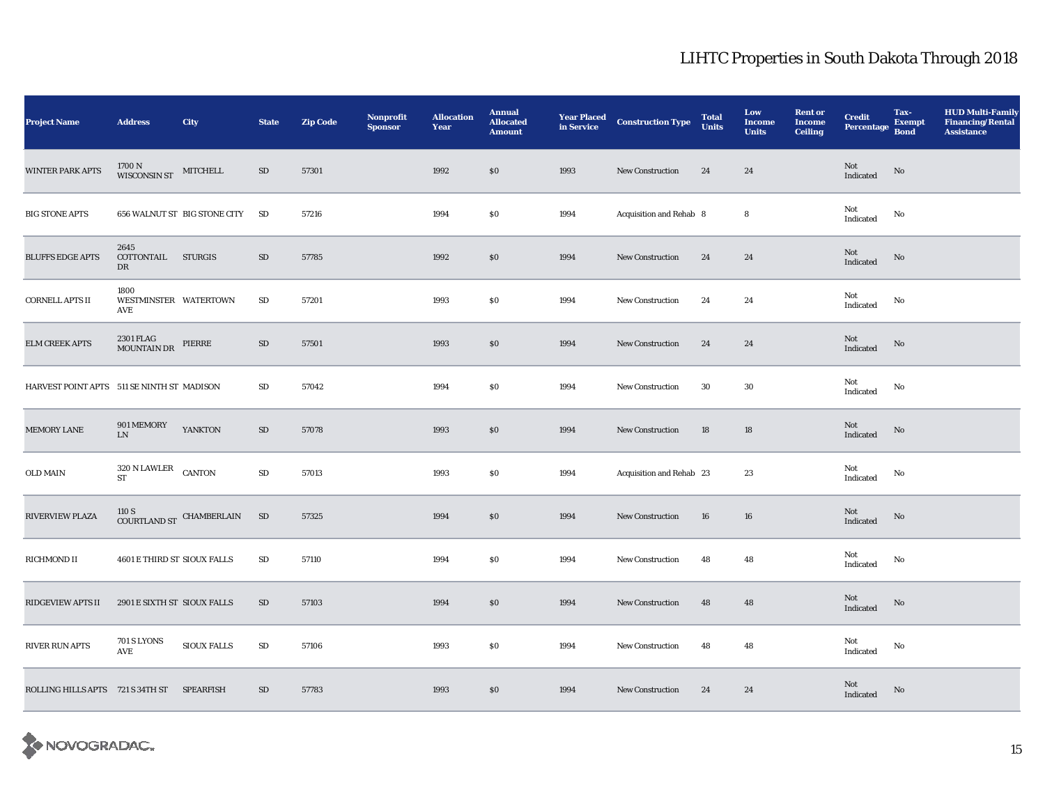| <b>Project Name</b>                        | <b>Address</b>                              | <b>City</b>                               | <b>State</b>    | <b>Zip Code</b> | Nonprofit<br><b>Sponsor</b> | <b>Allocation</b><br>Year | <b>Annual</b><br><b>Allocated</b><br><b>Amount</b> | <b>Year Placed</b><br>in Service | <b>Construction Type</b> | <b>Total</b><br><b>Units</b> | Low<br><b>Income</b><br><b>Units</b> | <b>Rent or</b><br><b>Income</b><br><b>Ceiling</b> | <b>Credit</b><br><b>Percentage</b> | Tax-<br><b>Exempt</b><br><b>Bond</b> | <b>HUD Multi-Family</b><br><b>Financing/Rental</b><br><b>Assistance</b> |
|--------------------------------------------|---------------------------------------------|-------------------------------------------|-----------------|-----------------|-----------------------------|---------------------------|----------------------------------------------------|----------------------------------|--------------------------|------------------------------|--------------------------------------|---------------------------------------------------|------------------------------------|--------------------------------------|-------------------------------------------------------------------------|
| <b>WINTER PARK APTS</b>                    | $1700$ N $$\rm{MITCHELL}\xspace$ MITCHELL   |                                           | SD              | 57301           |                             | 1992                      | \$0                                                | 1993                             | <b>New Construction</b>  | 24                           | 24                                   |                                                   | Not<br>Indicated                   | $\mathbf{N}\mathbf{o}$               |                                                                         |
| <b>BIG STONE APTS</b>                      |                                             | 656 WALNUT ST BIG STONE CITY              | SD              | 57216           |                             | 1994                      | <b>SO</b>                                          | 1994                             | Acquisition and Rehab 8  |                              | 8                                    |                                                   | Not<br>Indicated                   | No                                   |                                                                         |
| <b>BLUFFS EDGE APTS</b>                    | 2645<br>COTTONTAIL STURGIS<br>DR            |                                           | SD              | 57785           |                             | 1992                      | $\$0$                                              | 1994                             | New Construction         | 24                           | 24                                   |                                                   | Not<br>Indicated                   | No                                   |                                                                         |
| <b>CORNELL APTS II</b>                     | 1800<br>WESTMINSTER WATERTOWN<br><b>AVE</b> |                                           | SD              | 57201           |                             | 1993                      | \$0                                                | 1994                             | <b>New Construction</b>  | 24                           | 24                                   |                                                   | Not<br>Indicated                   | No                                   |                                                                         |
| ELM CREEK APTS                             | 2301 FLAG<br>MOUNTAIN DR                    | PIERRE                                    | SD              | 57501           |                             | 1993                      | $\$0$                                              | 1994                             | <b>New Construction</b>  | 24                           | 24                                   |                                                   | Not<br>Indicated                   | $\mathbf{N}\mathbf{o}$               |                                                                         |
| HARVEST POINT APTS 511 SE NINTH ST MADISON |                                             |                                           | SD              | 57042           |                             | 1994                      | \$0                                                | 1994                             | <b>New Construction</b>  | 30                           | 30                                   |                                                   | Not<br>Indicated                   | No                                   |                                                                         |
| MEMORY LANE                                | 901 MEMORY<br>${\rm LN}$                    | <b>YANKTON</b>                            | SD              | 57078           |                             | 1993                      | $\$0$                                              | 1994                             | New Construction         | 18                           | 18                                   |                                                   | Not<br>Indicated                   | No                                   |                                                                         |
| OLD MAIN                                   | $320$ N LAWLER $\quad$ CANTON<br><b>ST</b>  |                                           | ${\rm SD}$      | 57013           |                             | 1993                      | \$0                                                | 1994                             | Acquisition and Rehab 23 |                              | 23                                   |                                                   | Not<br>Indicated                   | No                                   |                                                                         |
| RIVERVIEW PLAZA                            |                                             | $110$ S $$\tt COURTLAND\:ST$$ CHAMBERLAIN | SD <sub>3</sub> | 57325           |                             | 1994                      | \$0                                                | 1994                             | <b>New Construction</b>  | 16                           | 16                                   |                                                   | Not<br>Indicated                   | No                                   |                                                                         |
| RICHMOND II                                | 4601 E THIRD ST SIOUX FALLS                 |                                           | $\rm SD$        | 57110           |                             | 1994                      | \$0                                                | 1994                             | <b>New Construction</b>  | 48                           | 48                                   |                                                   | Not<br>Indicated                   | No                                   |                                                                         |
| <b>RIDGEVIEW APTS II</b>                   | 2901 E SIXTH ST SIOUX FALLS                 |                                           | SD              | 57103           |                             | 1994                      | \$0                                                | 1994                             | <b>New Construction</b>  | 48                           | 48                                   |                                                   | Not<br>Indicated                   | No                                   |                                                                         |
| <b>RIVER RUN APTS</b>                      | <b>701 S LYONS</b><br>AVE                   | <b>SIOUX FALLS</b>                        | ${\rm SD}$      | 57106           |                             | 1993                      | <b>SO</b>                                          | 1994                             | <b>New Construction</b>  | 48                           | 48                                   |                                                   | Not<br>Indicated                   | No                                   |                                                                         |
| ROLLING HILLS APTS 721 S 34TH ST SPEARFISH |                                             |                                           | $\rm SD$        | 57783           |                             | 1993                      | $\$0$                                              | 1994                             | <b>New Construction</b>  | 24                           | 24                                   |                                                   | Not<br>Indicated                   | $\mathbf{N}\mathbf{o}$               |                                                                         |

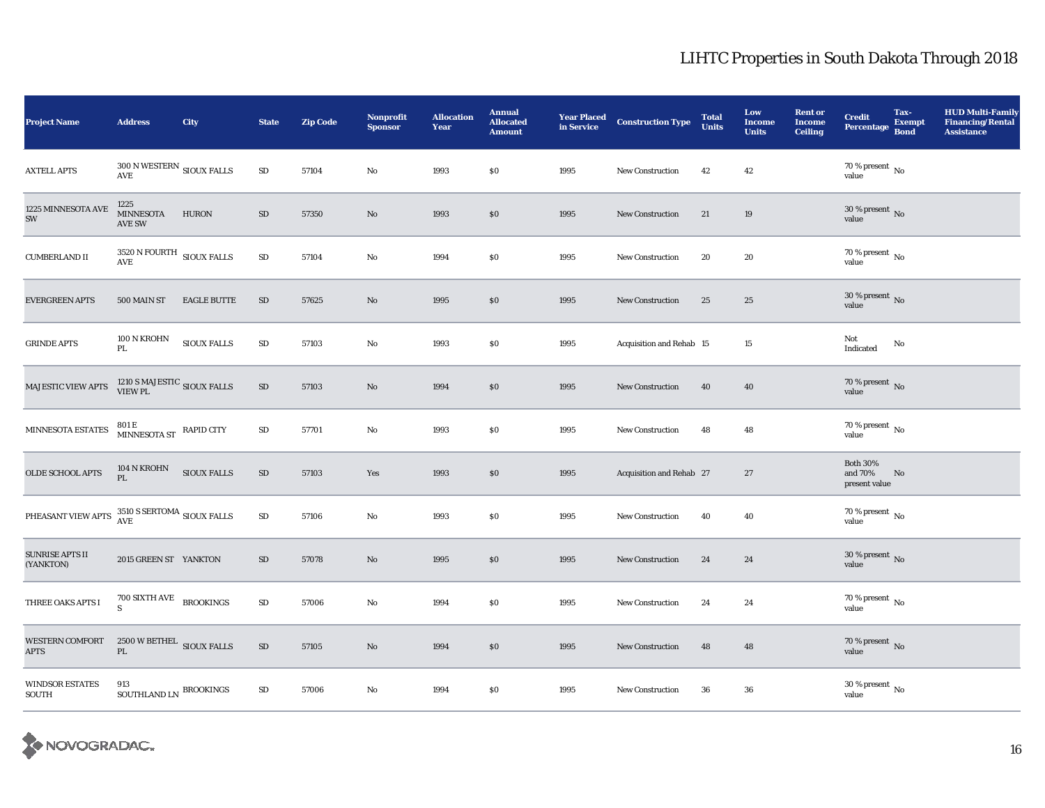| <b>Project Name</b>                    | <b>Address</b>                                                  | <b>City</b>        | <b>State</b> | <b>Zip Code</b> | Nonprofit<br><b>Sponsor</b> | <b>Allocation</b><br>Year | <b>Annual</b><br><b>Allocated</b><br><b>Amount</b> | <b>Year Placed</b><br>in Service | <b>Construction Type</b> | <b>Total</b><br><b>Units</b> | Low<br><b>Income</b><br><b>Units</b> | <b>Rent or</b><br><b>Income</b><br><b>Ceiling</b> | <b>Credit</b><br><b>Percentage</b>          | Tax-<br><b>Exempt</b><br><b>Bond</b> | <b>HUD Multi-Family</b><br><b>Financing/Rental</b><br><b>Assistance</b> |
|----------------------------------------|-----------------------------------------------------------------|--------------------|--------------|-----------------|-----------------------------|---------------------------|----------------------------------------------------|----------------------------------|--------------------------|------------------------------|--------------------------------------|---------------------------------------------------|---------------------------------------------|--------------------------------------|-------------------------------------------------------------------------|
| <b>AXTELL APTS</b>                     | $300$ N WESTERN $_{\rm{SIOUX\; FALLS}}$<br>$\operatorname{AVE}$ |                    | $\rm SD$     | 57104           | No                          | 1993                      | \$0                                                | 1995                             | <b>New Construction</b>  | 42                           | 42                                   |                                                   | 70 % present $\,$ No $\,$<br>value          |                                      |                                                                         |
| 1225 MINNESOTA AVE<br>SW               | 1225<br><b>MINNESOTA</b><br><b>AVE SW</b>                       | <b>HURON</b>       | $\rm SD$     | 57350           | No                          | 1993                      | \$0                                                | 1995                             | <b>New Construction</b>  | 21                           | 19                                   |                                                   | 30 % present $\,$ No $\,$<br>value          |                                      |                                                                         |
| <b>CUMBERLAND II</b>                   | $3520\,\mathrm{N}\,\mathrm{FOURTH}\;$ SIOUX FALLS<br>AVE        |                    | $\rm SD$     | 57104           | No                          | 1994                      | \$0                                                | 1995                             | <b>New Construction</b>  | 20                           | 20                                   |                                                   | 70 % present $\,$ No $\,$<br>value          |                                      |                                                                         |
| <b>EVERGREEN APTS</b>                  | 500 MAIN ST                                                     | <b>EAGLE BUTTE</b> | SD           | 57625           | No                          | 1995                      | \$0                                                | 1995                             | <b>New Construction</b>  | 25                           | 25                                   |                                                   | $30$ % present $\,$ No value                |                                      |                                                                         |
| <b>GRINDE APTS</b>                     | $100$ N KROHN<br>PL                                             | <b>SIOUX FALLS</b> | ${\rm SD}$   | 57103           | No                          | 1993                      | \$0                                                | 1995                             | Acquisition and Rehab 15 |                              | 15                                   |                                                   | Not<br>Indicated                            | No                                   |                                                                         |
| MAJESTIC VIEW APTS                     | $1210$ S MAJESTIC $_{\mbox{SIOUX\;FALLS}}$                      |                    | $\rm SD$     | 57103           | $\mathbf{N}\mathbf{o}$      | 1994                      | $\$0$                                              | 1995                             | New Construction         | 40                           | 40                                   |                                                   | 70 % present No<br>value                    |                                      |                                                                         |
| MINNESOTA ESTATES                      | $801\,\mathrm{E}$ MINNESOTA ST RAPID CITY                       |                    | $\rm SD$     | 57701           | No                          | 1993                      | \$0                                                | 1995                             | <b>New Construction</b>  | 48                           | 48                                   |                                                   | $70$ % present $\,$ No $\,$<br>value        |                                      |                                                                         |
| <b>OLDE SCHOOL APTS</b>                | 104 N KROHN<br>PL                                               | <b>SIOUX FALLS</b> | $\rm SD$     | 57103           | Yes                         | 1993                      | \$0                                                | 1995                             | Acquisition and Rehab 27 |                              | 27                                   |                                                   | <b>Both 30%</b><br>and 70%<br>present value | No                                   |                                                                         |
| PHEASANT VIEW APTS                     | $3510$ S SERTOMA $_{\hbox{SIOUX FALLS}}$                        |                    | ${\rm SD}$   | 57106           | No                          | 1993                      | $\$0$                                              | 1995                             | <b>New Construction</b>  | 40                           | 40                                   |                                                   | $70\,\%$ present $\,$ No value              |                                      |                                                                         |
| <b>SUNRISE APTS II</b><br>(YANKTON)    | 2015 GREEN ST YANKTON                                           |                    | SD           | 57078           | $\mathbf{No}$               | 1995                      | \$0                                                | 1995                             | <b>New Construction</b>  | 24                           | 24                                   |                                                   | $30$ % present $\,$ No value                |                                      |                                                                         |
| THREE OAKS APTS I                      | $700$ SIXTH AVE $$\sf BROOKINGS$$                               |                    | $\rm SD$     | 57006           | No                          | 1994                      | \$0                                                | 1995                             | <b>New Construction</b>  | 24                           | 24                                   |                                                   | $70\,\%$ present $\,$ No value              |                                      |                                                                         |
| <b>WESTERN COMFORT</b><br><b>APTS</b>  | $2500\,\mathrm{W}\,\mathrm{BETHEL}\;$ SIOUX FALLS<br>PL         |                    | ${\rm SD}$   | 57105           | $\mathbf{No}$               | 1994                      | $\$0$                                              | 1995                             | New Construction         | 48                           | 48                                   |                                                   | $70\,\%$ present $\,$ No value              |                                      |                                                                         |
| <b>WINDSOR ESTATES</b><br><b>SOUTH</b> | 913<br>SOUTHLAND LN $\,$ BROOKINGS                              |                    | ${\rm SD}$   | 57006           | No                          | 1994                      | \$0                                                | 1995                             | New Construction         | 36                           | 36                                   |                                                   | $30$ % present $_{\rm{No}}$                 |                                      |                                                                         |

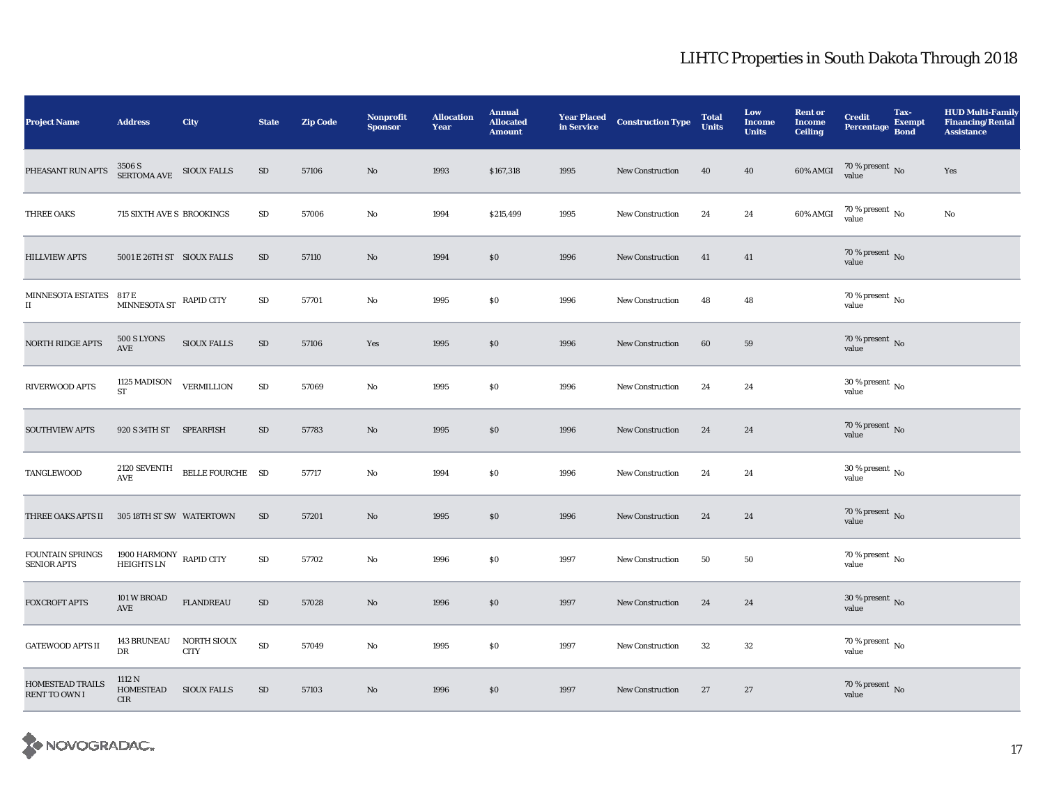| <b>Project Name</b>                             | <b>Address</b>                               | <b>City</b>                | <b>State</b> | <b>Zip Code</b> | Nonprofit<br><b>Sponsor</b> | <b>Allocation</b><br>Year | <b>Annual</b><br><b>Allocated</b><br><b>Amount</b> | <b>Year Placed</b><br>in Service | <b>Construction Type</b> | <b>Total</b><br><b>Units</b> | Low<br><b>Income</b><br><b>Units</b> | <b>Rent or</b><br><b>Income</b><br><b>Ceiling</b> | <b>Credit</b><br><b>Percentage</b> | Tax-<br><b>Exempt</b><br><b>Bond</b> | <b>HUD Multi-Family</b><br><b>Financing/Rental</b><br><b>Assistance</b> |
|-------------------------------------------------|----------------------------------------------|----------------------------|--------------|-----------------|-----------------------------|---------------------------|----------------------------------------------------|----------------------------------|--------------------------|------------------------------|--------------------------------------|---------------------------------------------------|------------------------------------|--------------------------------------|-------------------------------------------------------------------------|
| PHEASANT RUN APTS                               | $3506~\mathrm{S}$ SIOUX FALLS SERTOMA AVE    |                            | $\rm SD$     | 57106           | No                          | 1993                      | \$167,318                                          | 1995                             | New Construction         | 40                           | 40                                   | $60\%$ AMGI                                       | $70\,\%$ present $\,$ No value     |                                      | Yes                                                                     |
| THREE OAKS                                      | 715 SIXTH AVE S BROOKINGS                    |                            | $\rm SD$     | 57006           | No                          | 1994                      | \$215,499                                          | 1995                             | <b>New Construction</b>  | 24                           | 24                                   | 60% AMGI                                          | $70\,\%$ present $_{\rm No}$       |                                      | No                                                                      |
| <b>HILLVIEW APTS</b>                            | 5001 E 26TH ST SIOUX FALLS                   |                            | SD           | 57110           | No                          | 1994                      | \$0                                                | 1996                             | <b>New Construction</b>  | 41                           | 41                                   |                                                   | $70\,\%$ present $\,$ No value     |                                      |                                                                         |
| MINNESOTA ESTATES 817 E<br>$\scriptstyle\rm II$ | MINNESOTA ST RAPID CITY                      |                            | $\rm SD$     | 57701           | No                          | 1995                      | \$0                                                | 1996                             | <b>New Construction</b>  | 48                           | 48                                   |                                                   | $70\,\%$ present $\,$ No value     |                                      |                                                                         |
| <b>NORTH RIDGE APTS</b>                         | 500 S LYONS<br>AVE                           | <b>SIOUX FALLS</b>         | ${\rm SD}$   | 57106           | Yes                         | 1995                      | $\$0$                                              | 1996                             | <b>New Construction</b>  | 60                           | 59                                   |                                                   | $70\,\%$ present $\,$ No value     |                                      |                                                                         |
| RIVERWOOD APTS                                  | $1125\ \mathrm{MADISON}$<br>${\rm ST}$       | <b>VERMILLION</b>          | ${\rm SD}$   | 57069           | No                          | 1995                      | \$0                                                | 1996                             | <b>New Construction</b>  | 24                           | 24                                   |                                                   | 30 % present $\,$ No $\,$<br>value |                                      |                                                                         |
| <b>SOUTHVIEW APTS</b>                           | 920 S 34TH ST SPEARFISH                      |                            | SD           | 57783           | $\mathbf{No}$               | 1995                      | \$0                                                | 1996                             | <b>New Construction</b>  | 24                           | 24                                   |                                                   | $70\,\%$ present $\,$ No value     |                                      |                                                                         |
| TANGLEWOOD                                      | 2120 SEVENTH<br><b>AVE</b>                   | BELLE FOURCHE SD           |              | 57717           | No                          | 1994                      | \$0                                                | 1996                             | <b>New Construction</b>  | 24                           | 24                                   |                                                   | 30 % present $\,$ No $\,$<br>value |                                      |                                                                         |
| THREE OAKS APTS II                              | 305 18TH ST SW WATERTOWN                     |                            | SD           | 57201           | No                          | 1995                      | \$0                                                | 1996                             | <b>New Construction</b>  | 24                           | 24                                   |                                                   | $70\,\%$ present $\,$ No value     |                                      |                                                                         |
| <b>FOUNTAIN SPRINGS</b><br><b>SENIOR APTS</b>   | 1900 HARMONY RAPID CITY<br><b>HEIGHTS LN</b> |                            | $\rm SD$     | 57702           | $\mathbf{No}$               | 1996                      | \$0                                                | 1997                             | <b>New Construction</b>  | 50                           | 50                                   |                                                   | $70\%$ present No<br>value         |                                      |                                                                         |
| <b>FOXCROFT APTS</b>                            | 101 W BROAD<br>AVE                           | <b>FLANDREAU</b>           | $\rm SD$     | 57028           | No                          | 1996                      | $\$0$                                              | 1997                             | <b>New Construction</b>  | 24                           | 24                                   |                                                   | $30$ % present $\,$ No value       |                                      |                                                                         |
| <b>GATEWOOD APTS II</b>                         | <b>143 BRUNEAU</b><br>DR                     | NORTH SIOUX<br><b>CITY</b> | $\rm SD$     | 57049           | $\mathbf{No}$               | 1995                      | \$0                                                | 1997                             | <b>New Construction</b>  | 32                           | 32                                   |                                                   | $70\,\%$ present $\,$ No value     |                                      |                                                                         |
| <b>HOMESTEAD TRAILS</b><br>RENT TO OWN I        | 1112 N<br>HOMESTEAD<br><b>CIR</b>            | <b>SIOUX FALLS</b>         | SD           | 57103           | No                          | 1996                      | \$0                                                | 1997                             | <b>New Construction</b>  | 27                           | 27                                   |                                                   | $70\,\%$ present $\,$ No value     |                                      |                                                                         |

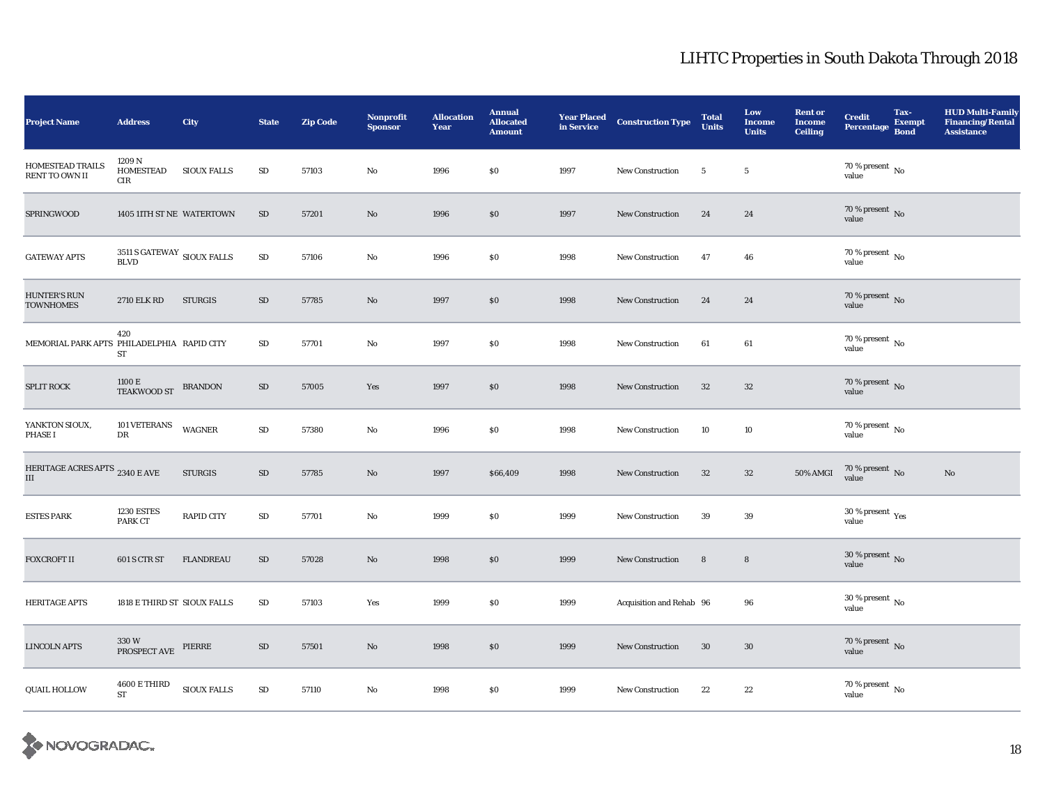| <b>Project Name</b>                        | <b>Address</b>                                        | <b>City</b>                    | <b>State</b> | <b>Zip Code</b> | <b>Nonprofit</b><br><b>Sponsor</b> | <b>Allocation</b><br>Year | <b>Annual</b><br><b>Allocated</b><br><b>Amount</b> | <b>Year Placed<br/>in Service</b> | <b>Construction Type</b> | <b>Total</b><br><b>Units</b> | Low<br><b>Income</b><br><b>Units</b> | <b>Rent or</b><br><b>Income</b><br><b>Ceiling</b> | <b>Credit</b><br><b>Percentage</b>      | Tax-<br><b>Exempt</b><br><b>Bond</b> | <b>HUD Multi-Family</b><br><b>Financing/Rental</b><br><b>Assistance</b> |
|--------------------------------------------|-------------------------------------------------------|--------------------------------|--------------|-----------------|------------------------------------|---------------------------|----------------------------------------------------|-----------------------------------|--------------------------|------------------------------|--------------------------------------|---------------------------------------------------|-----------------------------------------|--------------------------------------|-------------------------------------------------------------------------|
| <b>HOMESTEAD TRAILS</b><br>RENT TO OWN II  | 1209 N<br>HOMESTEAD<br>${\rm CIR}$                    | <b>SIOUX FALLS</b>             | SD           | 57103           | No                                 | 1996                      | $\$0$                                              | 1997                              | <b>New Construction</b>  | 5                            | $\sqrt{5}$                           |                                                   | $70\,\%$ present $\,$ No value          |                                      |                                                                         |
| SPRINGWOOD                                 | 1405 11TH ST NE WATERTOWN                             |                                | ${\rm SD}$   | 57201           | $\rm No$                           | 1996                      | \$0                                                | 1997                              | <b>New Construction</b>  | 24                           | 24                                   |                                                   | $70\,\%$ present $\,$ No value          |                                      |                                                                         |
| <b>GATEWAY APTS</b>                        | $3511\,\mathrm{S}\,\mathrm{GATEWAY}$ SIOUX FALLS BLVD |                                | $\rm SD$     | 57106           | No                                 | 1996                      | \$0                                                | 1998                              | <b>New Construction</b>  | 47                           | 46                                   |                                                   | $70\,\%$ present $\,$ No value          |                                      |                                                                         |
| <b>HUNTER'S RUN</b><br><b>TOWNHOMES</b>    | <b>2710 ELK RD</b>                                    | <b>STURGIS</b>                 | $\rm SD$     | 57785           | $\mathbf{N}\mathbf{o}$             | 1997                      | $\$0$                                              | 1998                              | <b>New Construction</b>  | 24                           | 24                                   |                                                   | $70\,\%$ present $\,$ No value          |                                      |                                                                         |
| MEMORIAL PARK APTS PHILADELPHIA RAPID CITY | 420<br><b>ST</b>                                      |                                | ${\rm SD}$   | 57701           | No                                 | 1997                      | \$0                                                | 1998                              | <b>New Construction</b>  | 61                           | 61                                   |                                                   | $70\,\%$ present $\,$ No value          |                                      |                                                                         |
| <b>SPLIT ROCK</b>                          | $1100\,\mathrm{E}$ TEAKWOOD ST BRANDON                |                                | $\rm SD$     | 57005           | Yes                                | 1997                      | $\$0$                                              | 1998                              | New Construction         | 32                           | $32\,$                               |                                                   | 70 % present $\,$ No $\,$<br>value      |                                      |                                                                         |
| YANKTON SIOUX,<br><b>PHASE I</b>           | 101 VETERANS<br>DR                                    | $\ensuremath{\mathsf{WAGNER}}$ | $\rm SD$     | 57380           | No                                 | 1996                      | $\$0$                                              | 1998                              | <b>New Construction</b>  | 10                           | 10                                   |                                                   | $70\,\%$ present $\,$ No value          |                                      |                                                                         |
| HERITAGE ACRES APTS 2340 E AVE<br>Ш        |                                                       | <b>STURGIS</b>                 | $\rm SD$     | 57785           | $\mathbf{N}\mathbf{o}$             | 1997                      | \$66,409                                           | 1998                              | <b>New Construction</b>  | $32\,$                       | $32\,$                               | <b>50% AMGI</b>                                   | $70\,\%$ present $\,$ No value          |                                      | $\rm No$                                                                |
| <b>ESTES PARK</b>                          | <b>1230 ESTES</b><br>PARK CT                          | <b>RAPID CITY</b>              | $\rm SD$     | 57701           | No                                 | 1999                      | \$0                                                | 1999                              | <b>New Construction</b>  | 39                           | 39                                   |                                                   | 30 % present $\rm \gamma_{es}$<br>value |                                      |                                                                         |
| <b>FOXCROFT II</b>                         | 601 S CTR ST                                          | <b>FLANDREAU</b>               | SD           | 57028           | No                                 | 1998                      | \$0                                                | 1999                              | <b>New Construction</b>  | 8                            | 8                                    |                                                   | $30$ % present $\,$ No value            |                                      |                                                                         |
| <b>HERITAGE APTS</b>                       | 1818 E THIRD ST SIOUX FALLS                           |                                | $\rm SD$     | 57103           | Yes                                | 1999                      | $\$0$                                              | 1999                              | Acquisition and Rehab 96 |                              | 96                                   |                                                   | $30$ % present $\,$ No value            |                                      |                                                                         |
| <b>LINCOLN APTS</b>                        | 330 W<br>PROSPECT AVE                                 | PIERRE                         | SD           | 57501           | No                                 | 1998                      | \$0                                                | 1999                              | <b>New Construction</b>  | 30                           | 30                                   |                                                   | $70\,\%$ present $\,$ No value          |                                      |                                                                         |
| <b>QUAIL HOLLOW</b>                        | <b>4600 E THIRD</b><br>${\rm ST}$                     | <b>SIOUX FALLS</b>             | $\rm SD$     | 57110           | No                                 | 1998                      | \$0                                                | 1999                              | <b>New Construction</b>  | 22                           | 22                                   |                                                   | $70\,\%$ present $\,$ No value          |                                      |                                                                         |

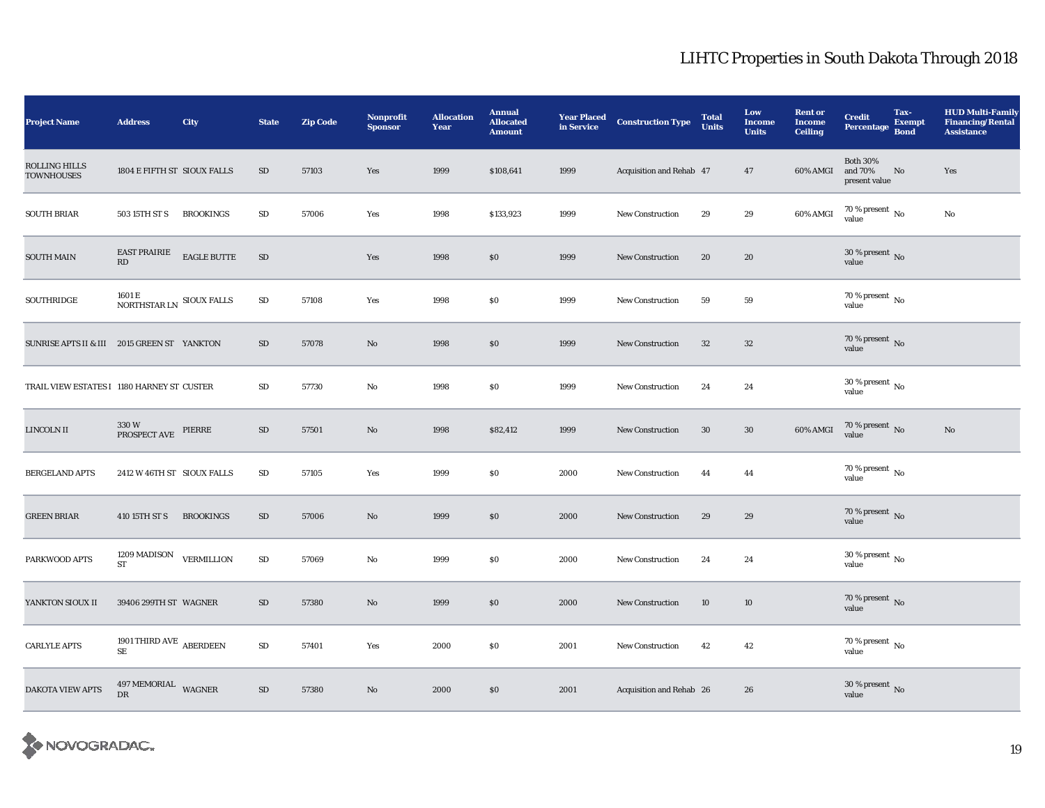| <b>Project Name</b>                         | <b>Address</b>                                             | <b>City</b>                  | <b>State</b> | <b>Zip Code</b> | Nonprofit<br><b>Sponsor</b> | <b>Allocation</b><br>Year | <b>Annual</b><br><b>Allocated</b><br><b>Amount</b> | <b>Year Placed</b><br>in Service | <b>Construction Type</b> | <b>Total</b><br><b>Units</b> | Low<br><b>Income</b><br><b>Units</b> | <b>Rent or</b><br><b>Income</b><br><b>Ceiling</b> | <b>Credit</b><br><b>Percentage</b>          | Tax-<br><b>Exempt</b><br><b>Bond</b> | <b>HUD Multi-Family</b><br><b>Financing/Rental</b><br><b>Assistance</b> |
|---------------------------------------------|------------------------------------------------------------|------------------------------|--------------|-----------------|-----------------------------|---------------------------|----------------------------------------------------|----------------------------------|--------------------------|------------------------------|--------------------------------------|---------------------------------------------------|---------------------------------------------|--------------------------------------|-------------------------------------------------------------------------|
| <b>ROLLING HILLS</b><br><b>TOWNHOUSES</b>   | 1804 E FIFTH ST SIOUX FALLS                                |                              | $\rm SD$     | 57103           | Yes                         | 1999                      | \$108,641                                          | 1999                             | Acquisition and Rehab 47 |                              | 47                                   | 60% AMGI                                          | <b>Both 30%</b><br>and 70%<br>present value | No                                   | Yes                                                                     |
| <b>SOUTH BRIAR</b>                          | 503 15TH ST S                                              | <b>BROOKINGS</b>             | ${\rm SD}$   | 57006           | Yes                         | 1998                      | \$133,923                                          | 1999                             | <b>New Construction</b>  | 29                           | $\boldsymbol{29}$                    | 60% AMGI                                          | $70\,\%$ present $\,$ No value              |                                      | $\rm No$                                                                |
| <b>SOUTH MAIN</b>                           | <b>EAST PRAIRIE</b><br>RD                                  | $\operatorname{EAGLE}$ BUTTE | $\rm SD$     |                 | Yes                         | 1998                      | $\$0$                                              | 1999                             | New Construction         | 20                           | 20                                   |                                                   | 30 % present $\,$ No $\,$<br>value          |                                      |                                                                         |
| SOUTHRIDGE                                  | $1601\,\mathrm{E}$ NORTHSTAR LN $\,$ SIOUX FALLS $\,$      |                              | ${\bf SD}$   | 57108           | Yes                         | 1998                      | \$0                                                | 1999                             | <b>New Construction</b>  | 59                           | 59                                   |                                                   | $70\,\%$ present $\,$ No value              |                                      |                                                                         |
| SUNRISE APTS II & III 2015 GREEN ST YANKTON |                                                            |                              | $\rm SD$     | 57078           | No                          | 1998                      | \$0                                                | 1999                             | <b>New Construction</b>  | 32                           | $32\,$                               |                                                   | $70\,\%$ present $\,$ No value              |                                      |                                                                         |
| TRAIL VIEW ESTATES I 1180 HARNEY ST CUSTER  |                                                            |                              | $\rm SD$     | 57730           | No                          | 1998                      | \$0                                                | 1999                             | <b>New Construction</b>  | 24                           | 24                                   |                                                   | $30$ % present $\,$ No value                |                                      |                                                                         |
| LINCOLN II                                  | $330\,\rm{W}$ $$\rm{PIERRE}$$ PROSPECT AVE $$\rm{PIERRE}$$ |                              | ${\rm SD}$   | 57501           | No                          | 1998                      | \$82,412                                           | 1999                             | <b>New Construction</b>  | 30                           | $30\,$                               | $60\%$ AMGI                                       | $70\,\%$ present $\,$ No value              |                                      | $\rm No$                                                                |
| <b>BERGELAND APTS</b>                       | 2412 W 46TH ST SIOUX FALLS                                 |                              | $\rm SD$     | 57105           | Yes                         | 1999                      | $\$0$                                              | 2000                             | <b>New Construction</b>  | 44                           | 44                                   |                                                   | $70\,\%$ present $\,$ No value              |                                      |                                                                         |
| <b>GREEN BRIAR</b>                          | 410 15TH ST S BROOKINGS                                    |                              | SD           | 57006           | No                          | 1999                      | \$0                                                | 2000                             | <b>New Construction</b>  | 29                           | 29                                   |                                                   | $70\,\%$ present $\,$ No value              |                                      |                                                                         |
| PARKWOOD APTS                               | 1209 MADISON<br>${\rm ST}$                                 | <b>VERMILLION</b>            | $\rm SD$     | 57069           | No                          | 1999                      | \$0                                                | 2000                             | <b>New Construction</b>  | 24                           | 24                                   |                                                   | $30\%$ present No<br>value                  |                                      |                                                                         |
| YANKTON SIOUX II                            | 39406 299TH ST WAGNER                                      |                              | SD           | 57380           | No                          | 1999                      | \$0                                                | 2000                             | <b>New Construction</b>  | 10                           | 10                                   |                                                   | $70\,\%$ present $\,$ No value              |                                      |                                                                         |
| <b>CARLYLE APTS</b>                         | 1901 THIRD AVE $\,$ ABERDEEN $\,$<br>SE                    |                              | $\rm SD$     | 57401           | Yes                         | 2000                      | \$0                                                | 2001                             | <b>New Construction</b>  | 42                           | 42                                   |                                                   | 70 % present $\,$ No $\,$<br>value          |                                      |                                                                         |
| <b>DAKOTA VIEW APTS</b>                     | 497 MEMORIAL WAGNER<br>DR                                  |                              | $\rm SD$     | 57380           | No                          | 2000                      | \$0                                                | 2001                             | Acquisition and Rehab 26 |                              | 26                                   |                                                   | $30$ % present $_{\rm{No}}$                 |                                      |                                                                         |

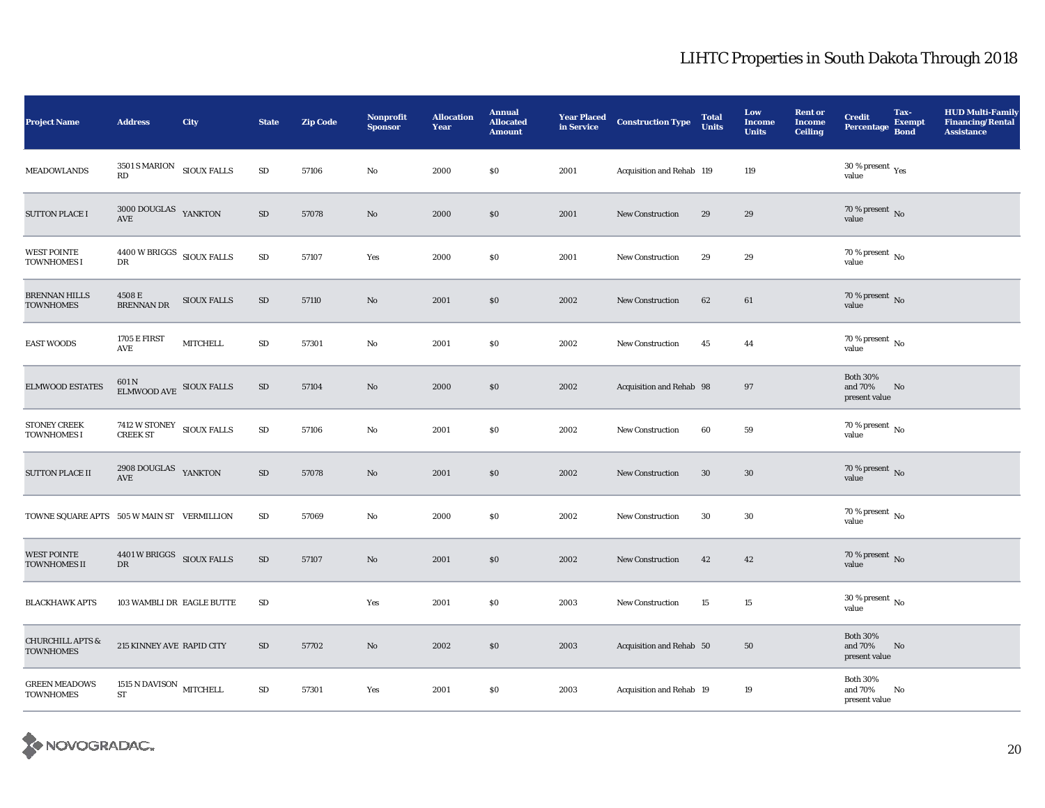| <b>Project Name</b>                             | <b>Address</b>                                                                 | City               | <b>State</b> | <b>Zip Code</b> | Nonprofit<br><b>Sponsor</b> | <b>Allocation</b><br>Year | <b>Annual</b><br><b>Allocated</b><br><b>Amount</b> | <b>Year Placed</b><br>in Service | <b>Construction Type</b>  | <b>Total</b><br>Units | Low<br><b>Income</b><br><b>Units</b> | <b>Rent or</b><br><b>Income</b><br><b>Ceiling</b> | <b>Credit</b><br><b>Percentage</b>             | Tax-<br><b>Exempt</b><br><b>Bond</b> | <b>HUD Multi-Family</b><br><b>Financing/Rental</b><br><b>Assistance</b> |
|-------------------------------------------------|--------------------------------------------------------------------------------|--------------------|--------------|-----------------|-----------------------------|---------------------------|----------------------------------------------------|----------------------------------|---------------------------|-----------------------|--------------------------------------|---------------------------------------------------|------------------------------------------------|--------------------------------------|-------------------------------------------------------------------------|
| <b>MEADOWLANDS</b>                              | $3501\,\mathrm{S}\,\mathrm{MARION}$ $$\,\mathrm{SIOUX}\,\mathrm{FALLS}$$<br>RD |                    | $\rm SD$     | 57106           | $\mathbf{N}\mathbf{o}$      | 2000                      | \$0                                                | 2001                             | Acquisition and Rehab 119 |                       | 119                                  |                                                   | 30 % present $\rm \gamma_{\rm PS}$<br>value    |                                      |                                                                         |
| <b>SUTTON PLACE I</b>                           | 3000 DOUGLAS YANKTON<br>AVE                                                    |                    | $\rm SD$     | 57078           | $\mathbf{N}\mathbf{o}$      | 2000                      | \$0                                                | 2001                             | <b>New Construction</b>   | 29                    | 29                                   |                                                   | $70\,\%$ present $\,$ No value                 |                                      |                                                                         |
| <b>WEST POINTE</b><br><b>TOWNHOMES I</b>        | $4400\,\rm{W}\,BRIGGS$ $\rm{SIOUX}\,FALLS$<br>${\rm DR}$                       |                    | $\rm SD$     | 57107           | Yes                         | 2000                      | \$0                                                | 2001                             | <b>New Construction</b>   | 29                    | 29                                   |                                                   | 70 % present $\,$ No $\,$<br>value             |                                      |                                                                         |
| <b>BRENNAN HILLS</b><br><b>TOWNHOMES</b>        | 4508 E<br><b>BRENNAN DR</b>                                                    | <b>SIOUX FALLS</b> | SD           | 57110           | $\mathbf{N}\mathbf{o}$      | 2001                      | \$0                                                | 2002                             | <b>New Construction</b>   | 62                    | 61                                   |                                                   | $70\,\%$ present $\,$ No value                 |                                      |                                                                         |
| <b>EAST WOODS</b>                               | <b>1705 E FIRST</b><br>AVE                                                     | <b>MITCHELL</b>    | ${\rm SD}$   | 57301           | $\mathbf{No}$               | 2001                      | \$0                                                | 2002                             | <b>New Construction</b>   | 45                    | 44                                   |                                                   | 70 % present $\,$ No $\,$<br>value             |                                      |                                                                         |
| <b>ELMWOOD ESTATES</b>                          | 601 N<br>ELMWOOD AVE SIOUX FALLS                                               |                    | ${\rm SD}$   | 57104           | $\mathbf{N}\mathbf{o}$      | 2000                      | $\$0$                                              | 2002                             | Acquisition and Rehab 98  |                       | 97                                   |                                                   | <b>Both 30%</b><br>and 70%<br>present value    | No                                   |                                                                         |
| <b>STONEY CREEK</b><br><b>TOWNHOMES I</b>       | 7412 W STONEY SIOUX FALLS<br><b>CREEK ST</b>                                   |                    | ${\rm SD}$   | 57106           | $\mathbf{No}$               | 2001                      | \$0                                                | 2002                             | <b>New Construction</b>   | 60                    | ${\bf 59}$                           |                                                   | $70\,\%$ present $\,$ No value                 |                                      |                                                                         |
| <b>SUTTON PLACE II</b>                          | $2908$ DOUGLAS $\quad$ YANKTON<br>AVE                                          |                    | ${\rm SD}$   | 57078           | $\mathbf{N}\mathbf{o}$      | 2001                      | \$0                                                | 2002                             | <b>New Construction</b>   | 30                    | 30                                   |                                                   | 70 % present $\,$ No $\,$<br>value             |                                      |                                                                         |
| TOWNE SQUARE APTS 505 W MAIN ST VERMILLION      |                                                                                |                    | SD           | 57069           | No                          | 2000                      | \$0                                                | 2002                             | <b>New Construction</b>   | 30                    | 30                                   |                                                   | 70 % present $\,$ No $\,$<br>value             |                                      |                                                                         |
| <b>WEST POINTE</b><br><b>TOWNHOMES II</b>       | 4401 W BRIGGS SIOUX FALLS<br>DR                                                |                    | $\rm SD$     | 57107           | $\rm No$                    | 2001                      | \$0                                                | 2002                             | <b>New Construction</b>   | 42                    | 42                                   |                                                   | 70 % present $\,$ No $\,$<br>value             |                                      |                                                                         |
| <b>BLACKHAWK APTS</b>                           | 103 WAMBLI DR EAGLE BUTTE                                                      |                    | SD           |                 | Yes                         | 2001                      | \$0                                                | 2003                             | <b>New Construction</b>   | 15                    | 15                                   |                                                   | 30 % present $\,$ No $\,$<br>value             |                                      |                                                                         |
| <b>CHURCHILL APTS &amp;</b><br><b>TOWNHOMES</b> | 215 KINNEY AVE RAPID CITY                                                      |                    | $\rm SD$     | 57702           | $\mathbf{N}\mathbf{o}$      | 2002                      | $\$0$                                              | 2003                             | Acquisition and Rehab 50  |                       | 50                                   |                                                   | <b>Both 30%</b><br>and $70\%$<br>present value | No                                   |                                                                         |
| <b>GREEN MEADOWS</b><br><b>TOWNHOMES</b>        | 1515 N DAVISON MITCHELL<br>${\rm ST}$                                          |                    | $\rm SD$     | 57301           | Yes                         | 2001                      | \$0                                                | 2003                             | Acquisition and Rehab 19  |                       | 19                                   |                                                   | <b>Both 30%</b><br>and 70%<br>present value    | No                                   |                                                                         |